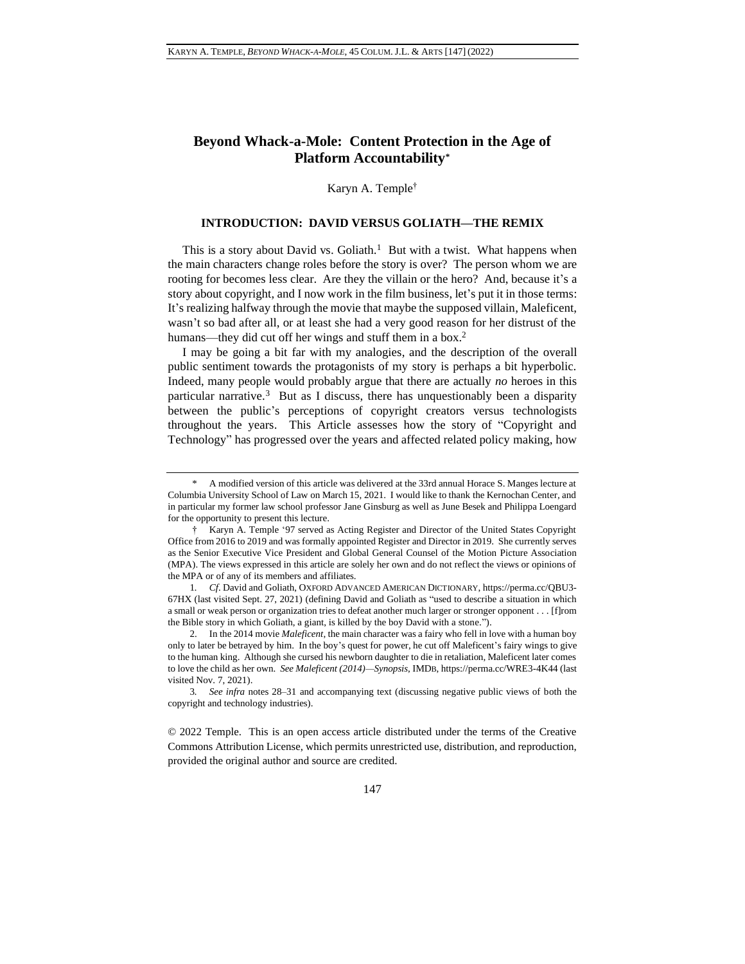# **Beyond Whack-a-Mole: Content Protection in the Age of Platform Accountability\***

Karyn A. Temple†

## **INTRODUCTION: DAVID VERSUS GOLIATH—THE REMIX**

This is a story about David vs. Goliath.<sup>1</sup> But with a twist. What happens when the main characters change roles before the story is over? The person whom we are rooting for becomes less clear. Are they the villain or the hero? And, because it's a story about copyright, and I now work in the film business, let's put it in those terms: It's realizing halfway through the movie that maybe the supposed villain, Maleficent, wasn't so bad after all, or at least she had a very good reason for her distrust of the humans—they did cut off her wings and stuff them in a box.<sup>2</sup>

I may be going a bit far with my analogies, and the description of the overall public sentiment towards the protagonists of my story is perhaps a bit hyperbolic. Indeed, many people would probably argue that there are actually *no* heroes in this particular narrative.<sup>3</sup> But as I discuss, there has unquestionably been a disparity between the public's perceptions of copyright creators versus technologists throughout the years. This Article assesses how the story of "Copyright and Technology" has progressed over the years and affected related policy making, how

© 2022 Temple. This is an open access article distributed under the terms of the [Creative](https://creativecommons.org/licenses/by/3.0/us/)  [Commons Attribution License,](https://creativecommons.org/licenses/by/3.0/us/) which permits unrestricted use, distribution, and reproduction, provided the original author and source are credited.

<sup>\*</sup> A modified version of this article was delivered at the 33rd annual Horace S. Manges lecture at Columbia University School of Law on March 15, 2021. I would like to thank the Kernochan Center, and in particular my former law school professor Jane Ginsburg as well as June Besek and Philippa Loengard for the opportunity to present this lecture.

<sup>†</sup> Karyn A. Temple '97 served as Acting Register and Director of the United States Copyright Office from 2016 to 2019 and was formally appointed Register and Director in 2019. She currently serves as the Senior Executive Vice President and Global General Counsel of the Motion Picture Association (MPA). The views expressed in this article are solely her own and do not reflect the views or opinions of the MPA or of any of its members and affiliates.

<sup>1</sup>*. Cf*. David and Goliath, OXFORD ADVANCED AMERICAN DICTIONARY, https://perma.cc/QBU3- 67HX (last visited Sept. 27, 2021) (defining David and Goliath as "used to describe a situation in which a small or weak person or organization tries to defeat another much larger or stronger opponent . . . [f]rom the Bible story in which Goliath, a giant, is killed by the boy David with a stone.").

<sup>2.</sup> In the 2014 movie *Maleficent*, the main character was a fairy who fell in love with a human boy only to later be betrayed by him. In the boy's quest for power, he cut off Maleficent's fairy wings to give to the human king. Although she cursed his newborn daughter to die in retaliation, Maleficent later comes to love the child as her own. *See Maleficent (2014)—Synopsis*, IMDB, https://perma.cc/WRE3-4K44 (last visited Nov. 7, 2021).

<sup>3</sup>*. See infra* notes [28–](#page-4-0)[31](#page-4-1) and accompanying text (discussing negative public views of both the copyright and technology industries).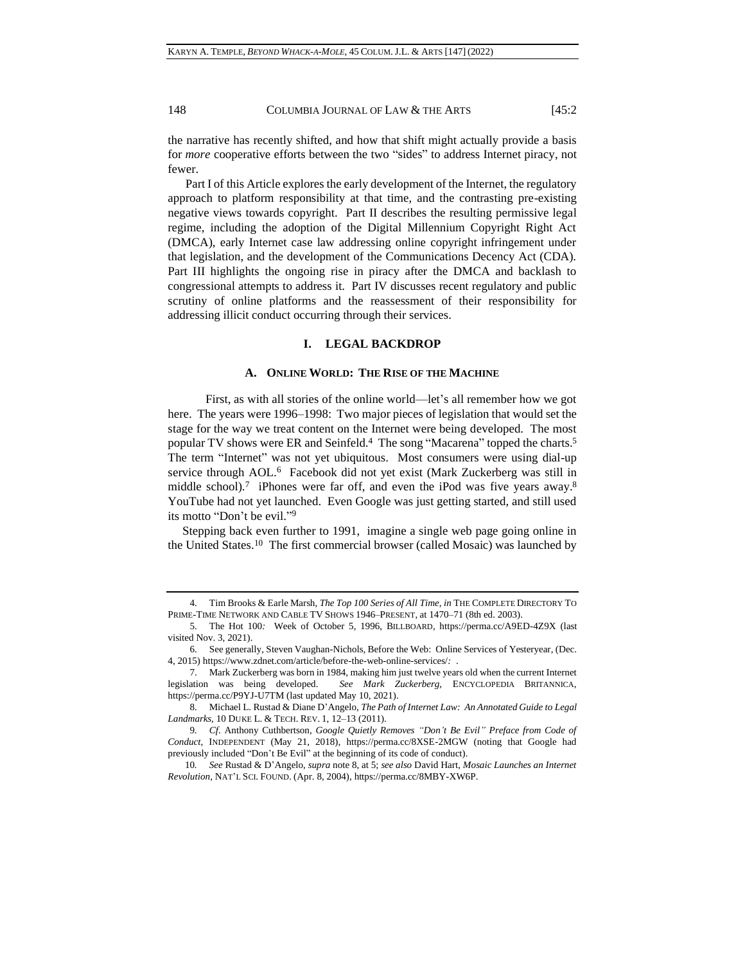the narrative has recently shifted, and how that shift might actually provide a basis for *more* cooperative efforts between the two "sides" to address Internet piracy, not fewer.

Part I of this Article explores the early development of the Internet, the regulatory approach to platform responsibility at that time, and the contrasting pre-existing negative views towards copyright. Part II describes the resulting permissive legal regime, including the adoption of the Digital Millennium Copyright Right Act (DMCA), early Internet case law addressing online copyright infringement under that legislation, and the development of the Communications Decency Act (CDA). Part III highlights the ongoing rise in piracy after the DMCA and backlash to congressional attempts to address it. Part IV discusses recent regulatory and public scrutiny of online platforms and the reassessment of their responsibility for addressing illicit conduct occurring through their services.

## <span id="page-1-0"></span>**I. LEGAL BACKDROP**

## **A. ONLINE WORLD: THE RISE OF THE MACHINE**

First, as with all stories of the online world—let's all remember how we got here. The years were 1996–1998: Two major pieces of legislation that would set the stage for the way we treat content on the Internet were being developed. The most popular TV shows were ER and Seinfeld.<sup>4</sup> The song "Macarena" topped the charts.<sup>5</sup> The term "Internet" was not yet ubiquitous. Most consumers were using dial-up service through AOL.<sup>6</sup> Facebook did not yet exist (Mark Zuckerberg was still in middle school).<sup>7</sup> iPhones were far off, and even the iPod was five years away.<sup>8</sup> YouTube had not yet launched. Even Google was just getting started, and still used its motto "Don't be evil." 9

<span id="page-1-1"></span>Stepping back even further to 1991, imagine a single web page going online in the United States.<sup>10</sup> The first commercial browser (called Mosaic) was launched by

<sup>4.</sup> Tim Brooks & Earle Marsh, *The Top 100 Series of All Time*, *in* THE COMPLETE DIRECTORY TO PRIME-TIME NETWORK AND CABLE TV SHOWS 1946–PRESENT, at 1470–71 (8th ed. 2003).

<sup>5.</sup> The Hot 100*:* Week of October 5, 1996, BILLBOARD, https://perma.cc/A9ED-4Z9X (last visited Nov. 3, 2021).

<sup>6.</sup> See generally, Steven Vaughan-Nichols, Before the Web: Online Services of Yesteryear, (Dec. 4, 2015) https://www.zdnet.com/article/before-the-web-online-services/*:* .

<sup>7.</sup> Mark Zuckerberg was born in 1984, making him just twelve years old when the current Internet legislation was being developed. *See Mark Zuckerberg,* ENCYCLOPEDIA BRITANNICA, https://perma.cc/P9YJ-U7TM (last updated May 10, 2021).

<sup>8.</sup> Michael L. Rustad & Diane D'Angelo, *The Path of Internet Law: An Annotated Guide to Legal Landmarks*, 10 DUKE L. & TECH. REV. 1, 12–13 (2011).

<sup>9</sup>*. Cf*. Anthony Cuthbertson, *Google Quietly Removes "Don't Be Evil" Preface from Code of Conduct*, INDEPENDENT (May 21, 2018), https://perma.cc/8XSE-2MGW (noting that Google had previously included "Don't Be Evil" at the beginning of its code of conduct).

<sup>10</sup>*. See* Rustad & D'Angelo, *supra* not[e 8,](#page-1-0) at 5; *see also* David Hart, *Mosaic Launches an Internet Revolution*, NAT'L SCI. FOUND. (Apr. 8, 2004), https://perma.cc/8MBY-XW6P.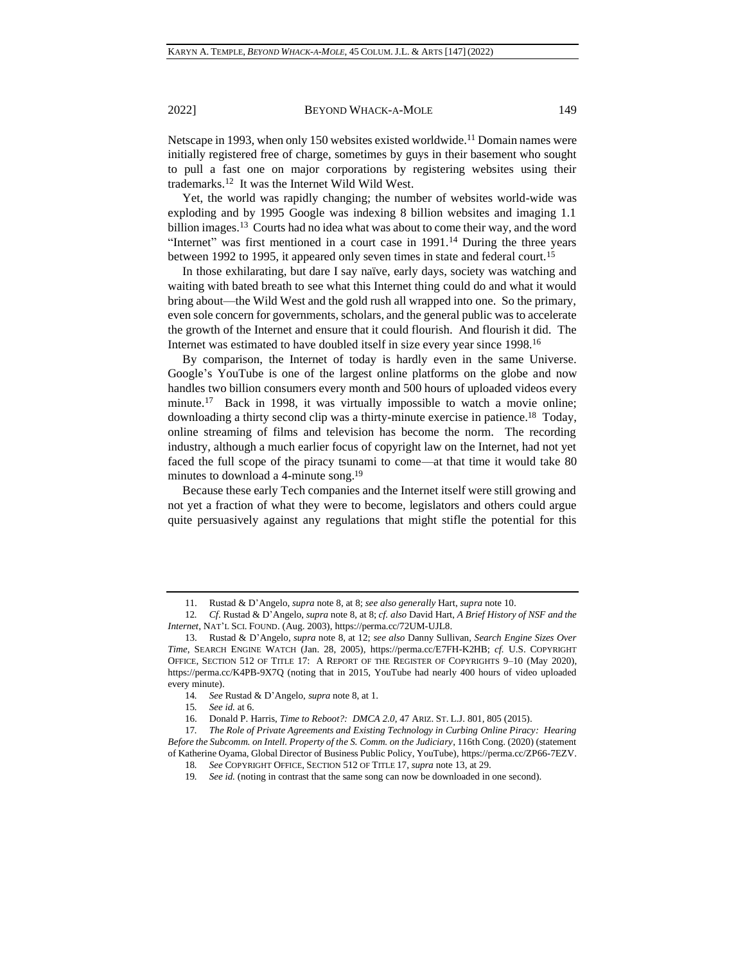Netscape in 1993, when only 150 websites existed worldwide.<sup>11</sup> Domain names were initially registered free of charge, sometimes by guys in their basement who sought to pull a fast one on major corporations by registering websites using their trademarks.<sup>12</sup> It was the Internet Wild Wild West.

<span id="page-2-1"></span><span id="page-2-0"></span>Yet, the world was rapidly changing; the number of websites world-wide was exploding and by 1995 Google was indexing 8 billion websites and imaging 1.1 billion images.<sup>13</sup> Courts had no idea what was about to come their way, and the word "Internet" was first mentioned in a court case in 1991.<sup>14</sup> During the three years between 1992 to 1995, it appeared only seven times in state and federal court.<sup>15</sup>

In those exhilarating, but dare I say naïve, early days, society was watching and waiting with bated breath to see what this Internet thing could do and what it would bring about—the Wild West and the gold rush all wrapped into one. So the primary, even sole concern for governments, scholars, and the general public was to accelerate the growth of the Internet and ensure that it could flourish. And flourish it did. The Internet was estimated to have doubled itself in size every year since 1998.<sup>16</sup>

By comparison, the Internet of today is hardly even in the same Universe. Google's YouTube is one of the largest online platforms on the globe and now handles two billion consumers every month and 500 hours of uploaded videos every minute.<sup>17</sup> Back in 1998, it was virtually impossible to watch a movie online; downloading a thirty second clip was a thirty-minute exercise in patience.<sup>18</sup> Today, online streaming of films and television has become the norm. The recording industry, although a much earlier focus of copyright law on the Internet, had not yet faced the full scope of the piracy tsunami to come—at that time it would take 80 minutes to download a 4-minute song.<sup>19</sup>

Because these early Tech companies and the Internet itself were still growing and not yet a fraction of what they were to become, legislators and others could argue quite persuasively against any regulations that might stifle the potential for this

<sup>11.</sup> Rustad & D'Angelo, *supra* not[e 8,](#page-1-0) at 8; *see also generally* Hart, *supra* not[e 10.](#page-1-1)

<sup>12</sup>*. Cf*. Rustad & D'Angelo, *supra* not[e 8,](#page-1-0) at 8; *cf. also* David Hart, *A Brief History of NSF and the Internet*, NAT'L SCI. FOUND. (Aug. 2003), https://perma.cc/72UM-UJL8.

<sup>13.</sup> Rustad & D'Angelo, *supra* note [8,](#page-1-0) at 12; *see also* Danny Sullivan, *Search Engine Sizes Over Time*, SEARCH ENGINE WATCH (Jan. 28, 2005), https://perma.cc/E7FH-K2HB; *cf.* U.S. COPYRIGHT OFFICE, SECTION 512 OF TITLE 17: A REPORT OF THE REGISTER OF COPYRIGHTS 9–10 (May 2020), https://perma.cc/K4PB-9X7Q (noting that in 2015, YouTube had nearly 400 hours of video uploaded every minute).

<sup>14</sup>*. See* Rustad & D'Angelo, *supra* not[e 8,](#page-1-0) at 1.

<sup>15</sup>*. See id.* at 6.

<sup>16.</sup> Donald P. Harris, *Time to Reboot?: DMCA 2.0*, 47 ARIZ. ST. L.J. 801, 805 (2015).

<sup>17</sup>*. The Role of Private Agreements and Existing Technology in Curbing Online Piracy: Hearing Before the Subcomm. on Intell. Property of the S. Comm. on the Judiciary*, 116th Cong. (2020) (statement of Katherine Oyama, Global Director of Business Public Policy, YouTube), https://perma.cc/ZP66-7EZV.

<sup>18</sup>*. See* COPYRIGHT OFFICE, SECTION 512 OF TITLE 17, *supra* not[e 13,](#page-2-0) at 29.

<sup>19</sup>*. See id.* (noting in contrast that the same song can now be downloaded in one second).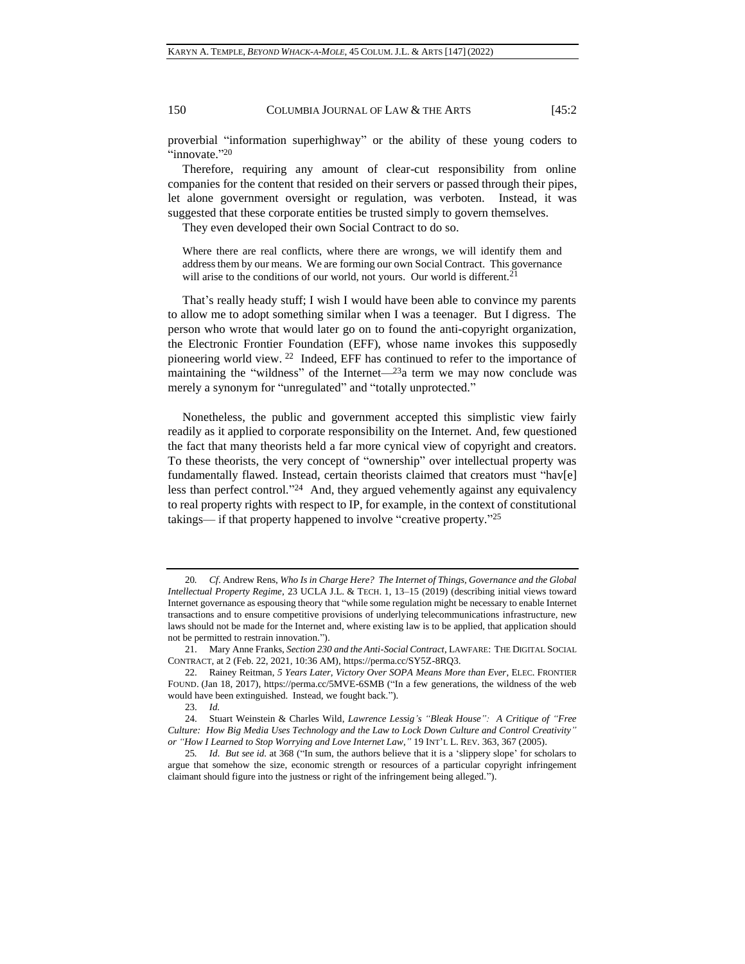proverbial "information superhighway" or the ability of these young coders to "innovate."20

150 COLUMBIA JOURNAL OF LAW & THE ARTS [45:2]

Therefore, requiring any amount of clear-cut responsibility from online companies for the content that resided on their servers or passed through their pipes, let alone government oversight or regulation, was verboten. Instead, it was suggested that these corporate entities be trusted simply to govern themselves.

They even developed their own Social Contract to do so.

Where there are real conflicts, where there are wrongs, we will identify them and address them by our means. We are forming our own Social Contract. This governance will arise to the conditions of our world, not yours. Our world is different.<sup>21</sup>

That's really heady stuff; I wish I would have been able to convince my parents to allow me to adopt something similar when I was a teenager. But I digress. The person who wrote that would later go on to found the anti-copyright organization, the Electronic Frontier Foundation (EFF), whose name invokes this supposedly pioneering world view. <sup>22</sup> Indeed, EFF has continued to refer to the importance of maintaining the "wildness" of the Internet— $^{23}$ a term we may now conclude was merely a synonym for "unregulated" and "totally unprotected."

Nonetheless, the public and government accepted this simplistic view fairly readily as it applied to corporate responsibility on the Internet. And, few questioned the fact that many theorists held a far more cynical view of copyright and creators. To these theorists, the very concept of "ownership" over intellectual property was fundamentally flawed. Instead, certain theorists claimed that creators must "hav[e] less than perfect control."<sup>24</sup> And, they argued vehemently against any equivalency to real property rights with respect to IP, for example, in the context of constitutional takings— if that property happened to involve "creative property." 25

<sup>20</sup>*. Cf*. Andrew Rens, *Who Is in Charge Here? The Internet of Things, Governance and the Global Intellectual Property Regime*, 23 UCLA J.L. & TECH. 1, 13–15 (2019) (describing initial views toward Internet governance as espousing theory that "while some regulation might be necessary to enable Internet transactions and to ensure competitive provisions of underlying telecommunications infrastructure, new laws should not be made for the Internet and, where existing law is to be applied, that application should not be permitted to restrain innovation.").

<sup>21.</sup> Mary Anne Franks, *Section 230 and the Anti-Social Contract*, LAWFARE: THE DIGITAL SOCIAL CONTRACT, at 2 (Feb. 22, 2021, 10:36 AM), https://perma.cc/SY5Z-8RQ3.

<sup>22.</sup> Rainey Reitman, *5 Years Later, Victory Over SOPA Means More than Ever*, ELEC. FRONTIER FOUND. (Jan 18, 2017), https://perma.cc/5MVE-6SMB ("In a few generations, the wildness of the web would have been extinguished. Instead, we fought back.").

<sup>23.</sup> *Id.*

<sup>24.</sup> Stuart Weinstein & Charles Wild, *Lawrence Lessig's "Bleak House": A Critique of "Free Culture: How Big Media Uses Technology and the Law to Lock Down Culture and Control Creativity" or "How I Learned to Stop Worrying and Love Internet Law*,*"* 19 INT'L L. REV. 363, 367 (2005).

<sup>25</sup>*. Id*. *But see id.* at 368 ("In sum, the authors believe that it is a 'slippery slope' for scholars to argue that somehow the size, economic strength or resources of a particular copyright infringement claimant should figure into the justness or right of the infringement being alleged.").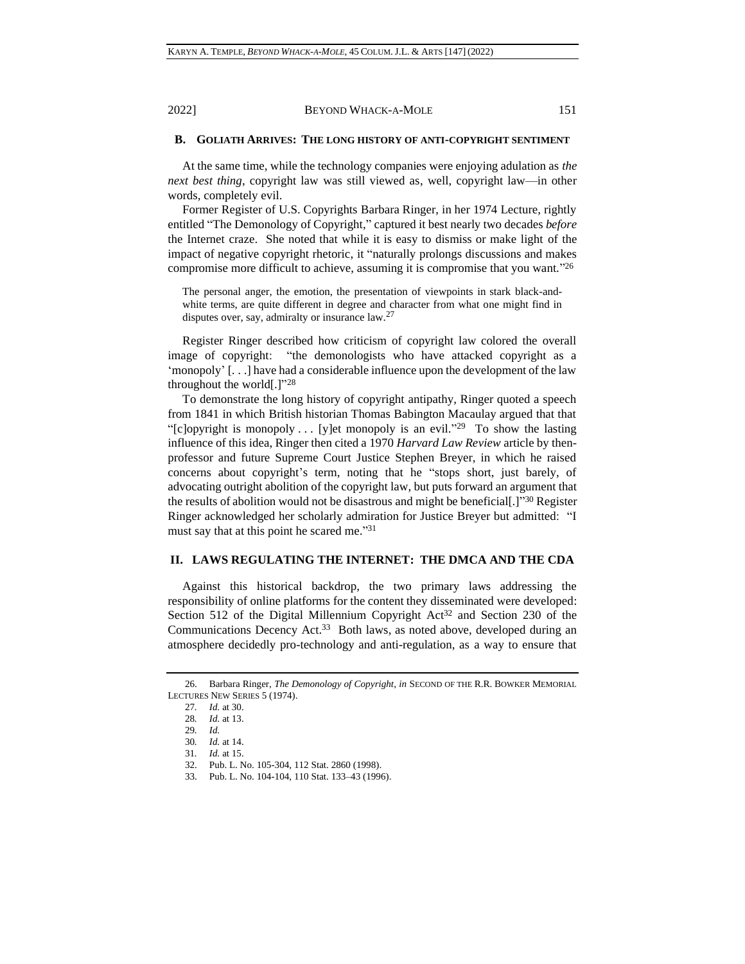## **B. GOLIATH ARRIVES: THE LONG HISTORY OF ANTI-COPYRIGHT SENTIMENT**

At the same time, while the technology companies were enjoying adulation as *the next best thing*, copyright law was still viewed as, well, copyright law—in other words, completely evil.

Former Register of U.S. Copyrights Barbara Ringer, in her 1974 Lecture, rightly entitled "The Demonology of Copyright," captured it best nearly two decades *before* the Internet craze. She noted that while it is easy to dismiss or make light of the impact of negative copyright rhetoric, it "naturally prolongs discussions and makes compromise more difficult to achieve, assuming it is compromise that you want."26

The personal anger, the emotion, the presentation of viewpoints in stark black-andwhite terms, are quite different in degree and character from what one might find in disputes over, say, admiralty or insurance law.<sup>27</sup>

Register Ringer described how criticism of copyright law colored the overall image of copyright: "the demonologists who have attacked copyright as a 'monopoly' [. . .] have had a considerable influence upon the development of the law throughout the world $[.]$ <sup>"28</sup>

<span id="page-4-0"></span>To demonstrate the long history of copyright antipathy, Ringer quoted a speech from 1841 in which British historian Thomas Babington Macaulay argued that that "[c]opyright is monopoly ... [y]et monopoly is an evil."<sup>29</sup> To show the lasting influence of this idea, Ringer then cited a 1970 *Harvard Law Review* article by thenprofessor and future Supreme Court Justice Stephen Breyer, in which he raised concerns about copyright's term, noting that he "stops short, just barely, of advocating outright abolition of the copyright law, but puts forward an argument that the results of abolition would not be disastrous and might be beneficial[.]"<sup>30</sup> Register Ringer acknowledged her scholarly admiration for Justice Breyer but admitted: "I must say that at this point he scared me." 31

### <span id="page-4-1"></span>**II. LAWS REGULATING THE INTERNET: THE DMCA AND THE CDA**

Against this historical backdrop, the two primary laws addressing the responsibility of online platforms for the content they disseminated were developed: Section 512 of the Digital Millennium Copyright Act<sup>32</sup> and Section 230 of the Communications Decency Act.<sup>33</sup> Both laws, as noted above, developed during an atmosphere decidedly pro-technology and anti-regulation, as a way to ensure that

<sup>26.</sup> Barbara Ringer, *The Demonology of Copyright*, *in* SECOND OF THE R.R. BOWKER MEMORIAL LECTURES NEW SERIES 5 (1974).

<sup>27</sup>*. Id.* at 30.

<sup>28</sup>*. Id.* at 13.

<sup>29</sup>*. Id.*

<sup>30</sup>*. Id.* at 14.

<sup>31</sup>*. Id.* at 15.

<sup>32.</sup> Pub. L. No. 105-304, 112 Stat. 2860 (1998).

<sup>33.</sup> Pub. L. No. 104-104, 110 Stat. 133–43 (1996).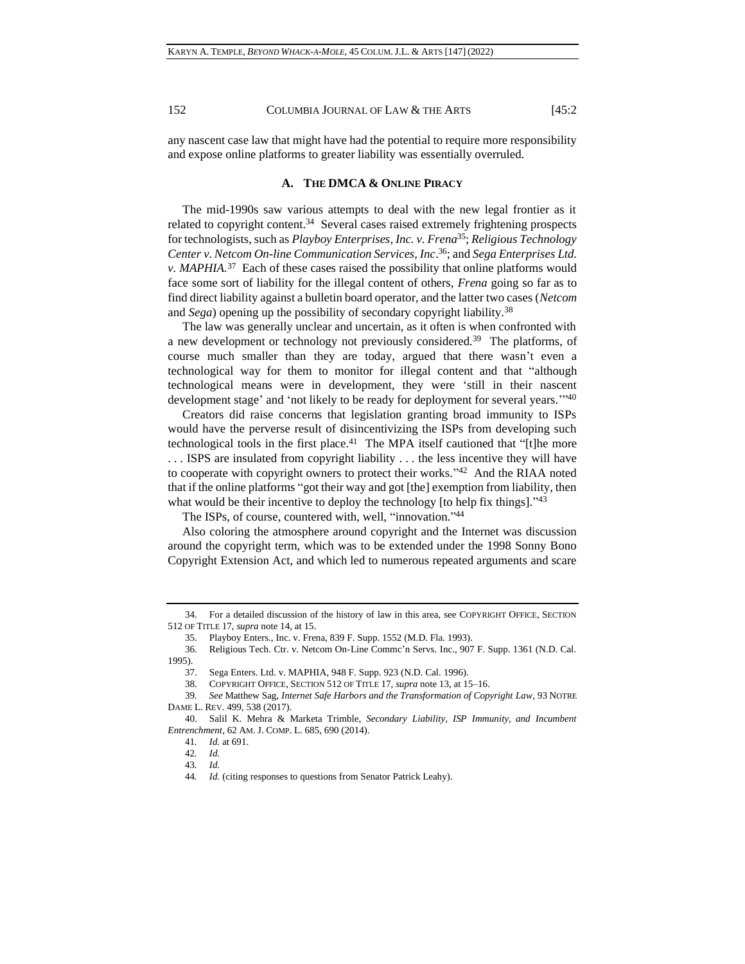any nascent case law that might have had the potential to require more responsibility and expose online platforms to greater liability was essentially overruled.

## <span id="page-5-0"></span>**A. THE DMCA & ONLINE PIRACY**

The mid-1990s saw various attempts to deal with the new legal frontier as it related to copyright content.<sup>34</sup> Several cases raised extremely frightening prospects for technologists, such as *Playboy Enterprises, Inc. v. Frena*<sup>35</sup>; *Religious Technology Center v. Netcom On-line Communication Services, Inc*. <sup>36</sup>; and *Sega Enterprises Ltd. v. MAPHIA.*<sup>37</sup> Each of these cases raised the possibility that online platforms would face some sort of liability for the illegal content of others, *Frena* going so far as to find direct liability against a bulletin board operator, and the latter two cases (*Netcom* and *Sega*) opening up the possibility of secondary copyright liability.<sup>38</sup>

The law was generally unclear and uncertain, as it often is when confronted with a new development or technology not previously considered.<sup>39</sup> The platforms, of course much smaller than they are today, argued that there wasn't even a technological way for them to monitor for illegal content and that "although technological means were in development, they were 'still in their nascent development stage' and 'not likely to be ready for deployment for several years.'" 40

Creators did raise concerns that legislation granting broad immunity to ISPs would have the perverse result of disincentivizing the ISPs from developing such technological tools in the first place.<sup>41</sup> The MPA itself cautioned that "[t]he more . . . ISPS are insulated from copyright liability . . . the less incentive they will have to cooperate with copyright owners to protect their works."<sup>42</sup> And the RIAA noted that if the online platforms "got their way and got [the] exemption from liability, then what would be their incentive to deploy the technology [to help fix things]."43

The ISPs, of course, countered with, well, "innovation."<sup>44</sup>

Also coloring the atmosphere around copyright and the Internet was discussion around the copyright term, which was to be extended under the 1998 Sonny Bono Copyright Extension Act, and which led to numerous repeated arguments and scare

<sup>34.</sup> For a detailed discussion of the history of law in this area, see COPYRIGHT OFFICE, SECTION 512 OF TITLE 17, *supra* note 14, at 15.

<sup>35.</sup> Playboy Enters., Inc. v. Frena, 839 F. Supp. 1552 (M.D. Fla. 1993).

<sup>36.</sup> Religious Tech. Ctr. v. Netcom On-Line Commc'n Servs. Inc., 907 F. Supp. 1361 (N.D. Cal. 1995).

<sup>37.</sup> Sega Enters. Ltd. v. MAPHIA, 948 F. Supp. 923 (N.D. Cal. 1996).

<sup>38.</sup> COPYRIGHT OFFICE, SECTION 512 OF TITLE 17, *supra* not[e 13,](#page-2-0) at 15–16.

<sup>39</sup>*. See* Matthew Sag, *Internet Safe Harbors and the Transformation of Copyright Law*, 93 NOTRE DAME L. REV. 499, 538 (2017).

<sup>40.</sup> Salil K. Mehra & Marketa Trimble, *Secondary Liability, ISP Immunity, and Incumbent Entrenchment*, 62 AM. J. COMP. L. 685, 690 (2014).

<sup>41</sup>*. Id.* at 691.

<sup>42</sup>*. Id.*

<sup>43</sup>*. Id.*

<sup>44</sup>*. Id.* (citing responses to questions from Senator Patrick Leahy).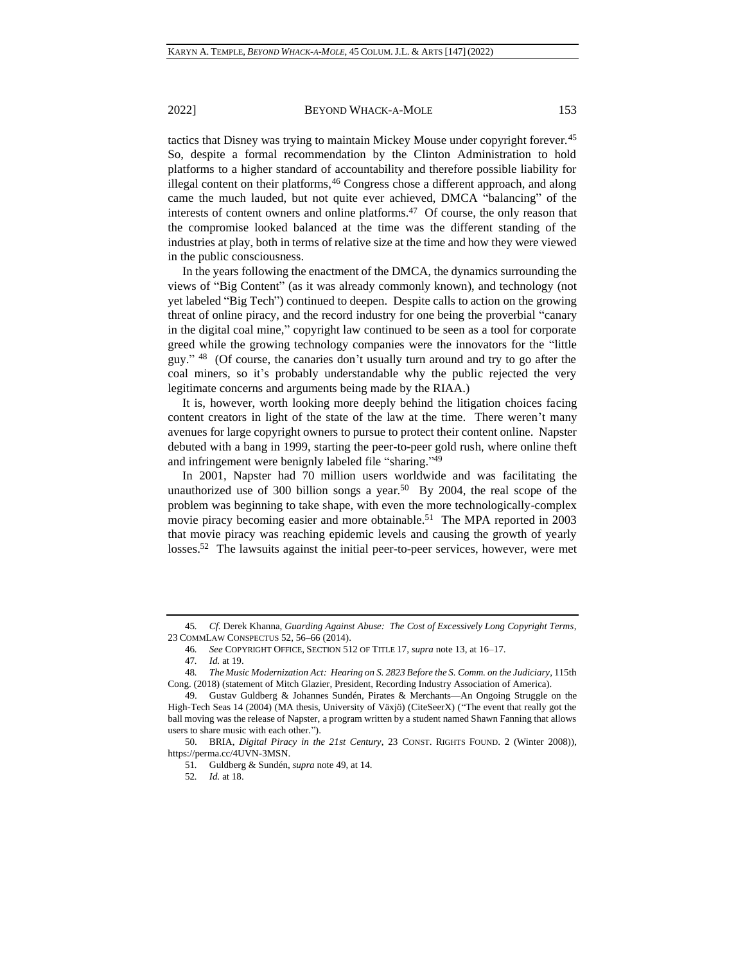tactics that Disney was trying to maintain Mickey Mouse under copyright forever.<sup>45</sup> So, despite a formal recommendation by the Clinton Administration to hold platforms to a higher standard of accountability and therefore possible liability for illegal content on their platforms,<sup>46</sup> Congress chose a different approach, and along came the much lauded, but not quite ever achieved, DMCA "balancing" of the interests of content owners and online platforms.<sup>47</sup> Of course, the only reason that the compromise looked balanced at the time was the different standing of the industries at play, both in terms of relative size at the time and how they were viewed in the public consciousness.

In the years following the enactment of the DMCA, the dynamics surrounding the views of "Big Content" (as it was already commonly known), and technology (not yet labeled "Big Tech") continued to deepen. Despite calls to action on the growing threat of online piracy, and the record industry for one being the proverbial "canary in the digital coal mine," copyright law continued to be seen as a tool for corporate greed while the growing technology companies were the innovators for the "little guy."<sup>48</sup> (Of course, the canaries don't usually turn around and try to go after the coal miners, so it's probably understandable why the public rejected the very legitimate concerns and arguments being made by the RIAA.)

It is, however, worth looking more deeply behind the litigation choices facing content creators in light of the state of the law at the time. There weren't many avenues for large copyright owners to pursue to protect their content online. Napster debuted with a bang in 1999, starting the peer-to-peer gold rush, where online theft and infringement were benignly labeled file "sharing."<sup>49</sup>

<span id="page-6-0"></span>In 2001, Napster had 70 million users worldwide and was facilitating the unauthorized use of 300 billion songs a year.<sup>50</sup> By 2004, the real scope of the problem was beginning to take shape, with even the more technologically-complex movie piracy becoming easier and more obtainable.<sup>51</sup> The MPA reported in 2003 that movie piracy was reaching epidemic levels and causing the growth of yearly losses.<sup>52</sup> The lawsuits against the initial peer-to-peer services, however, were met

<sup>45</sup>*. Cf.* Derek Khanna, *Guarding Against Abuse: The Cost of Excessively Long Copyright Terms*, 23 COMMLAW CONSPECTUS 52, 56–66 (2014).

<sup>46</sup>*. See* COPYRIGHT OFFICE, SECTION 512 OF TITLE 17, *supra* not[e 13,](#page-2-0) at 16–17.

<sup>47</sup>*. Id.* at 19.

<sup>48</sup>*. The Music Modernization Act: Hearing on S. 2823 Before the S. Comm. on the Judiciary*, 115th Cong. (2018) (statement of Mitch Glazier, President, Recording Industry Association of America).

<sup>49.</sup> Gustav Guldberg & Johannes Sundén, Pirates & Merchants—An Ongoing Struggle on the High-Tech Seas 14 (2004) (MA thesis, University of Växjö) (CiteSeerX) ("The event that really got the ball moving was the release of Napster, a program written by a student named Shawn Fanning that allows users to share music with each other.").

<sup>50.</sup> BRIA, *Digital Piracy in the 21st Century*, 23 CONST. RIGHTS FOUND. 2 (Winter 2008)), https://perma.cc/4UVN-3MSN.

<sup>51</sup>*.* Guldberg & Sundén, *supra* note [49,](#page-6-0) at 14.

<sup>52</sup>*. Id.* at 18.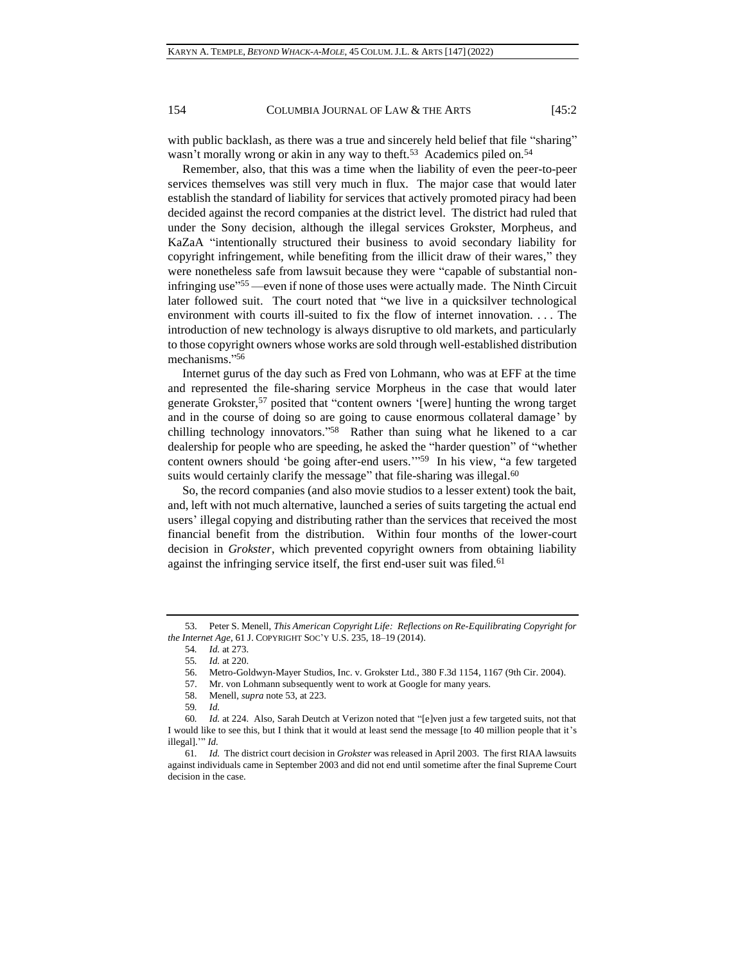<span id="page-7-0"></span>with public backlash, as there was a true and sincerely held belief that file "sharing" wasn't morally wrong or akin in any way to theft.<sup>53</sup> Academics piled on.<sup>54</sup>

Remember, also, that this was a time when the liability of even the peer-to-peer services themselves was still very much in flux. The major case that would later establish the standard of liability for services that actively promoted piracy had been decided against the record companies at the district level. The district had ruled that under the Sony decision, although the illegal services Grokster, Morpheus, and KaZaA "intentionally structured their business to avoid secondary liability for copyright infringement, while benefiting from the illicit draw of their wares," they were nonetheless safe from lawsuit because they were "capable of substantial noninfringing use" <sup>55</sup> —even if none of those uses were actually made. The Ninth Circuit later followed suit. The court noted that "we live in a quicksilver technological environment with courts ill-suited to fix the flow of internet innovation. . . . The introduction of new technology is always disruptive to old markets, and particularly to those copyright owners whose works are sold through well-established distribution mechanisms." 56

Internet gurus of the day such as Fred von Lohmann, who was at EFF at the time and represented the file-sharing service Morpheus in the case that would later generate Grokster,<sup>57</sup> posited that "content owners '[were] hunting the wrong target and in the course of doing so are going to cause enormous collateral damage' by chilling technology innovators."<sup>58</sup> Rather than suing what he likened to a car dealership for people who are speeding, he asked the "harder question" of "whether content owners should 'be going after-end users.'" 59 In his view, "a few targeted suits would certainly clarify the message" that file-sharing was illegal.<sup>60</sup>

So, the record companies (and also movie studios to a lesser extent) took the bait, and, left with not much alternative, launched a series of suits targeting the actual end users' illegal copying and distributing rather than the services that received the most financial benefit from the distribution. Within four months of the lower-court decision in *Grokster*, which prevented copyright owners from obtaining liability against the infringing service itself, the first end-user suit was filed.<sup>61</sup>

<sup>53.</sup> Peter S. Menell, *This American Copyright Life: Reflections on Re-Equilibrating Copyright for the Internet Age*, 61 J. COPYRIGHT SOC'Y U.S. 235, 18–19 (2014).

<sup>54</sup>*. Id.* at 273.

<sup>55</sup>*. Id.* at 220.

<sup>56.</sup> Metro-Goldwyn-Mayer Studios, Inc. v. Grokster Ltd., 380 F.3d 1154, 1167 (9th Cir. 2004).

<sup>57.</sup> Mr. von Lohmann subsequently went to work at Google for many years.

<sup>58.</sup> Menell, *supra* note [53,](#page-7-0) at 223.

<sup>59</sup>*. Id.*

<sup>60</sup>*. Id.* at 224. Also, Sarah Deutch at Verizon noted that "[e]ven just a few targeted suits, not that I would like to see this, but I think that it would at least send the message [to 40 million people that it's illegal].'" *Id.*

<sup>61</sup>*. Id.* The district court decision in *Grokster* was released in April 2003. The first RIAA lawsuits against individuals came in September 2003 and did not end until sometime after the final Supreme Court decision in the case.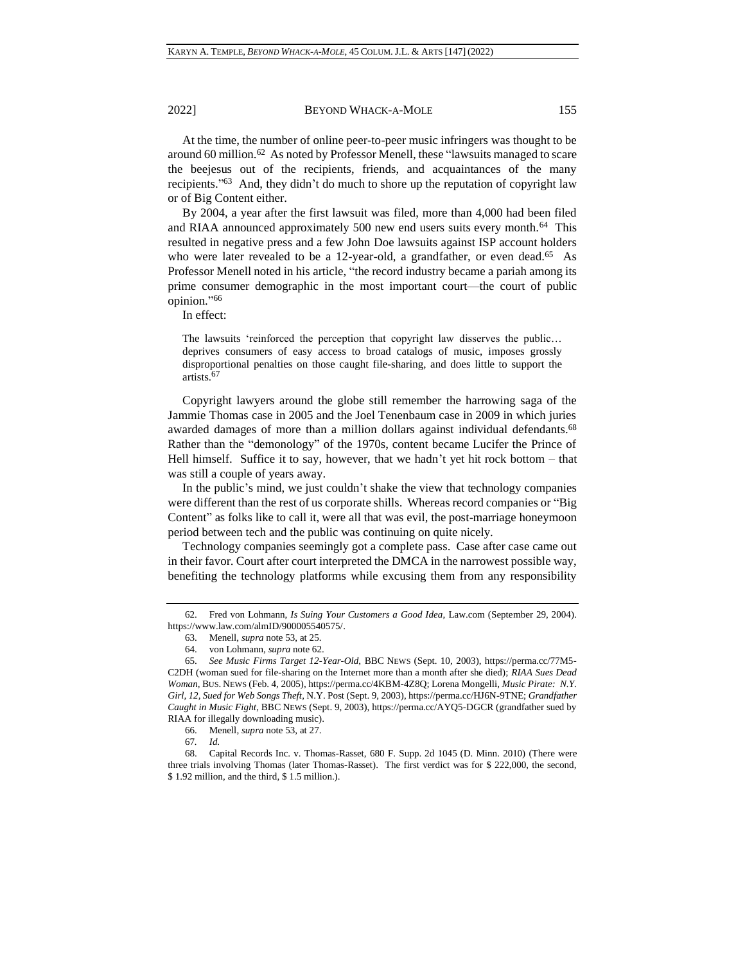<span id="page-8-0"></span>At the time, the number of online peer-to-peer music infringers was thought to be around 60 million.<sup>62</sup> As noted by Professor Menell, these "lawsuits managed to scare the beejesus out of the recipients, friends, and acquaintances of the many recipients."<sup>63</sup> And, they didn't do much to shore up the reputation of copyright law or of Big Content either.

By 2004, a year after the first lawsuit was filed, more than 4,000 had been filed and RIAA announced approximately 500 new end users suits every month.<sup>64</sup> This resulted in negative press and a few John Doe lawsuits against ISP account holders who were later revealed to be a 12-year-old, a grandfather, or even dead.<sup>65</sup> As Professor Menell noted in his article, "the record industry became a pariah among its prime consumer demographic in the most important court—the court of public opinion." 66

In effect:

The lawsuits 'reinforced the perception that copyright law disserves the public… deprives consumers of easy access to broad catalogs of music, imposes grossly disproportional penalties on those caught file-sharing, and does little to support the artists.<sup>67</sup>

Copyright lawyers around the globe still remember the harrowing saga of the Jammie Thomas case in 2005 and the Joel Tenenbaum case in 2009 in which juries awarded damages of more than a million dollars against individual defendants.<sup>68</sup> Rather than the "demonology" of the 1970s, content became Lucifer the Prince of Hell himself. Suffice it to say, however, that we hadn't yet hit rock bottom – that was still a couple of years away.

In the public's mind, we just couldn't shake the view that technology companies were different than the rest of us corporate shills. Whereas record companies or "Big Content" as folks like to call it, were all that was evil, the post-marriage honeymoon period between tech and the public was continuing on quite nicely.

Technology companies seemingly got a complete pass. Case after case came out in their favor. Court after court interpreted the DMCA in the narrowest possible way, benefiting the technology platforms while excusing them from any responsibility

<sup>62.</sup> Fred von Lohmann, *Is Suing Your Customers a Good Idea*, Law.com (September 29, 2004). https://www.law.com/almID/900005540575/.

<sup>63.</sup> Menell, *supra* note [53,](#page-7-0) at 25.

<sup>64.</sup> von Lohmann, *supra* note [62.](#page-8-0)

<sup>65.</sup> *See Music Firms Target 12-Year-Old*, BBC NEWS (Sept. 10, 2003), https://perma.cc/77M5- C2DH (woman sued for file-sharing on the Internet more than a month after she died); *RIAA Sues Dead Woman,* BUS. NEWS (Feb. 4, 2005), https://perma.cc/4KBM-4Z8Q; Lorena Mongelli, *Music Pirate: N.Y. Girl, 12, Sued for Web Songs Theft*, N.Y. Post (Sept. 9, 2003), https://perma.cc/HJ6N-9TNE; *Grandfather Caught in Music Fight*, BBC NEWS (Sept. 9, 2003), https://perma.cc/AYQ5-DGCR (grandfather sued by RIAA for illegally downloading music).

<sup>66.</sup> Menell, *supra* note [53,](#page-7-0) at 27.

<sup>67</sup>*. Id.*

<sup>68.</sup> Capital Records Inc. v. Thomas-Rasset, 680 F. Supp. 2d 1045 (D. Minn. 2010) (There were three trials involving Thomas (later Thomas-Rasset). The first verdict was for \$ 222,000, the second, \$ 1.92 million, and the third, \$ 1.5 million.).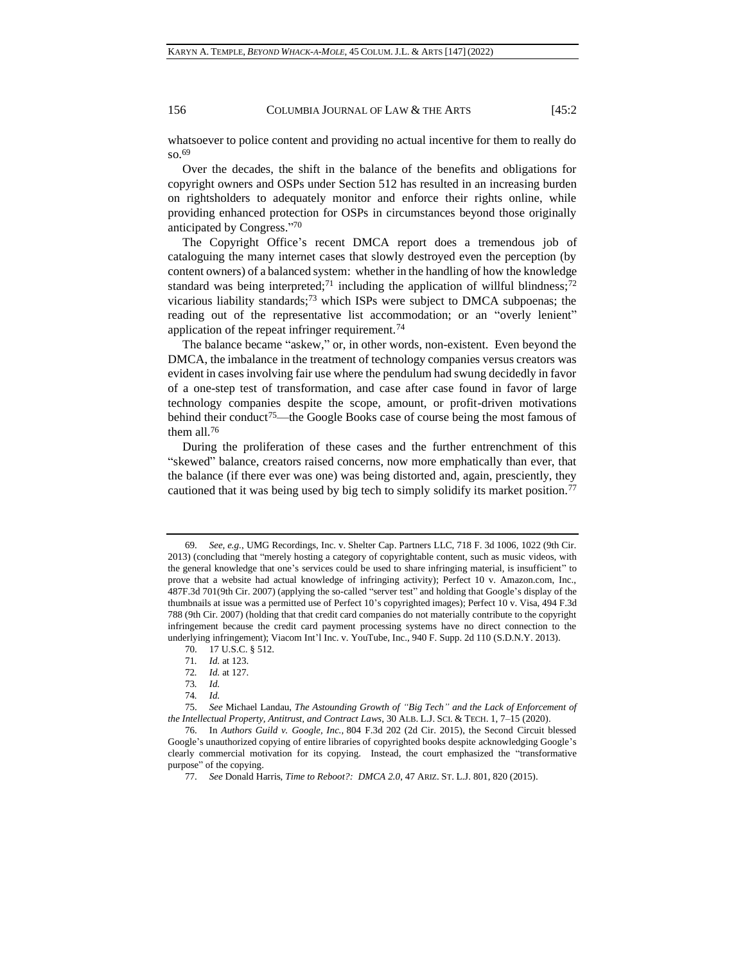whatsoever to police content and providing no actual incentive for them to really do so.<sup>69</sup>

Over the decades, the shift in the balance of the benefits and obligations for copyright owners and OSPs under Section 512 has resulted in an increasing burden on rightsholders to adequately monitor and enforce their rights online, while providing enhanced protection for OSPs in circumstances beyond those originally anticipated by Congress." 70

The Copyright Office's recent DMCA report does a tremendous job of cataloguing the many internet cases that slowly destroyed even the perception (by content owners) of a balanced system: whether in the handling of how the knowledge standard was being interpreted;<sup>71</sup> including the application of willful blindness;<sup>72</sup> vicarious liability standards;<sup>73</sup> which ISPs were subject to DMCA subpoenas; the reading out of the representative list accommodation; or an "overly lenient" application of the repeat infringer requirement.<sup>74</sup>

The balance became "askew," or, in other words, non-existent. Even beyond the DMCA, the imbalance in the treatment of technology companies versus creators was evident in cases involving fair use where the pendulum had swung decidedly in favor of a one-step test of transformation, and case after case found in favor of large technology companies despite the scope, amount, or profit-driven motivations behind their conduct<sup>75</sup>—the Google Books case of course being the most famous of them all.<sup>76</sup>

<span id="page-9-0"></span>During the proliferation of these cases and the further entrenchment of this "skewed" balance, creators raised concerns, now more emphatically than ever, that the balance (if there ever was one) was being distorted and, again, presciently, they cautioned that it was being used by big tech to simply solidify its market position.<sup>77</sup>

<sup>69.</sup> *See, e.g.*, UMG Recordings, Inc. v. Shelter Cap. Partners LLC, 718 F. 3d 1006, 1022 (9th Cir. 2013) (concluding that "merely hosting a category of copyrightable content, such as music videos, with the general knowledge that one's services could be used to share infringing material, is insufficient" to prove that a website had actual knowledge of infringing activity); Perfect 10 v. Amazon.com, Inc., 487F.3d 701(9th Cir. 2007) (applying the so-called "server test" and holding that Google's display of the thumbnails at issue was a permitted use of Perfect 10's copyrighted images); Perfect 10 v. Visa, 494 F.3d 788 (9th Cir. 2007) (holding that that credit card companies do not materially contribute to the copyright infringement because the credit card payment processing systems have no direct connection to the underlying infringement); Viacom Int'l Inc. v. YouTube, Inc., 940 F. Supp. 2d 110 (S.D.N.Y. 2013).

<sup>70.</sup> 17 U.S.C. § 512.

<sup>71</sup>*. Id.* at 123.

<sup>72</sup>*. Id.* at 127. 73*. Id.*

<sup>74</sup>*. Id.*

<sup>75.</sup> *See* Michael Landau, *The Astounding Growth of "Big Tech" and the Lack of Enforcement of the Intellectual Property, Antitrust, and Contract Laws*, 30 ALB. L.J. SCI. & TECH. 1, 7–15 (2020).

<sup>76.</sup> In *Authors Guild v. Google, Inc.,* 804 F.3d 202 (2d Cir. 2015), the Second Circuit blessed Google's unauthorized copying of entire libraries of copyrighted books despite acknowledging Google's clearly commercial motivation for its copying. Instead, the court emphasized the "transformative purpose" of the copying.

<sup>77.</sup> *See* Donald Harris, *Time to Reboot?: DMCA 2.0*, 47 ARIZ. ST. L.J. 801, 820 (2015).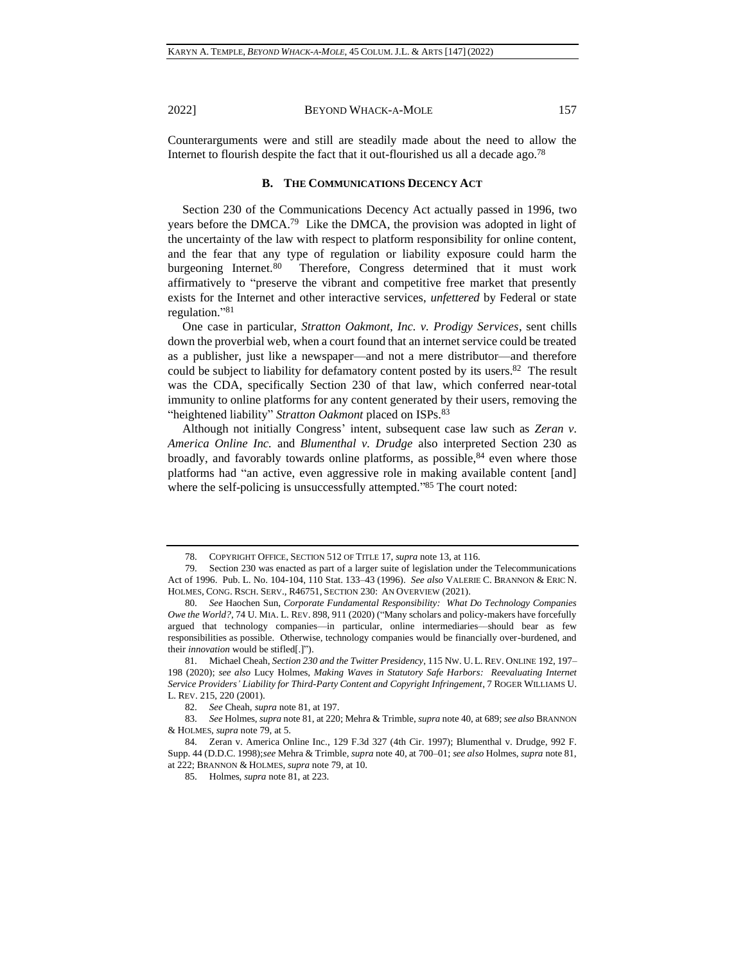Counterarguments were and still are steadily made about the need to allow the Internet to flourish despite the fact that it out-flourished us all a decade ago.<sup>78</sup>

## <span id="page-10-2"></span><span id="page-10-1"></span>**B. THE COMMUNICATIONS DECENCY ACT**

Section 230 of the Communications Decency Act actually passed in 1996, two years before the DMCA.<sup>79</sup> Like the DMCA, the provision was adopted in light of the uncertainty of the law with respect to platform responsibility for online content, and the fear that any type of regulation or liability exposure could harm the burgeoning Internet.<sup>80</sup> Therefore, Congress determined that it must work affirmatively to "preserve the vibrant and competitive free market that presently exists for the Internet and other interactive services, *unfettered* by Federal or state regulation." 81

<span id="page-10-0"></span>One case in particular, *Stratton Oakmont, Inc. v. Prodigy Services*, sent chills down the proverbial web, when a court found that an internet service could be treated as a publisher, just like a newspaper—and not a mere distributor—and therefore could be subject to liability for defamatory content posted by its users.<sup>82</sup> The result was the CDA, specifically Section 230 of that law, which conferred near-total immunity to online platforms for any content generated by their users, removing the "heightened liability" *Stratton Oakmont* placed on ISPs.<sup>83</sup>

Although not initially Congress' intent, subsequent case law such as *Zeran v. America Online Inc.* and *Blumenthal v. Drudge* also interpreted Section 230 as broadly, and favorably towards online platforms, as possible,  $84$  even where those platforms had "an active, even aggressive role in making available content [and] where the self-policing is unsuccessfully attempted."85 The court noted:

<sup>78.</sup> COPYRIGHT OFFICE, SECTION 512 OF TITLE 17, *supra* not[e 13,](#page-2-0) at 116.

<sup>79.</sup> Section 230 was enacted as part of a larger suite of legislation under the Telecommunications Act of 1996. Pub. L. No. 104-104, 110 Stat. 133–43 (1996). *See also* VALERIE C. BRANNON & ERIC N. HOLMES, CONG. RSCH. SERV., R46751, SECTION 230: AN OVERVIEW (2021).

<sup>80.</sup> *See* Haochen Sun, *Corporate Fundamental Responsibility: What Do Technology Companies Owe the World?*, 74 U. MIA. L. REV. 898, 911 (2020) ("Many scholars and policy-makers have forcefully argued that technology companies—in particular, online intermediaries—should bear as few responsibilities as possible. Otherwise, technology companies would be financially over-burdened, and their *innovation* would be stifled[.]").

<sup>81.</sup> Michael Cheah, *Section 230 and the Twitter Presidency*, 115 NW. U. L. REV. ONLINE 192, 197– 198 (2020); *see also* Lucy Holmes, *Making Waves in Statutory Safe Harbors: Reevaluating Internet Service Providers' Liability for Third-Party Content and Copyright Infringement*, 7 ROGER WILLIAMS U. L. REV. 215, 220 (2001).

<sup>82.</sup> *See* Cheah, *supra* note [81,](#page-10-0) at 197.

<sup>83.</sup> *See* Holmes, *supra* note [81,](#page-10-0) at 220; Mehra & Trimble, *supra* not[e 40,](#page-5-0) at 689; *see also* BRANNON & HOLMES, *supra* note [79,](#page-10-1) at 5.

<sup>84.</sup> Zeran v. America Online Inc., 129 F.3d 327 (4th Cir. 1997); Blumenthal v. Drudge, 992 F. Supp. 44 (D.D.C. 1998);*see* Mehra & Trimble, *supra* note [40,](#page-5-0) at 700–01; *see also* Holmes, *supra* note [81,](#page-10-0) at 222; BRANNON & HOLMES, *supra* not[e 79,](#page-10-1) at 10.

<sup>85.</sup> Holmes, *supra* note [81,](#page-10-0) at 223.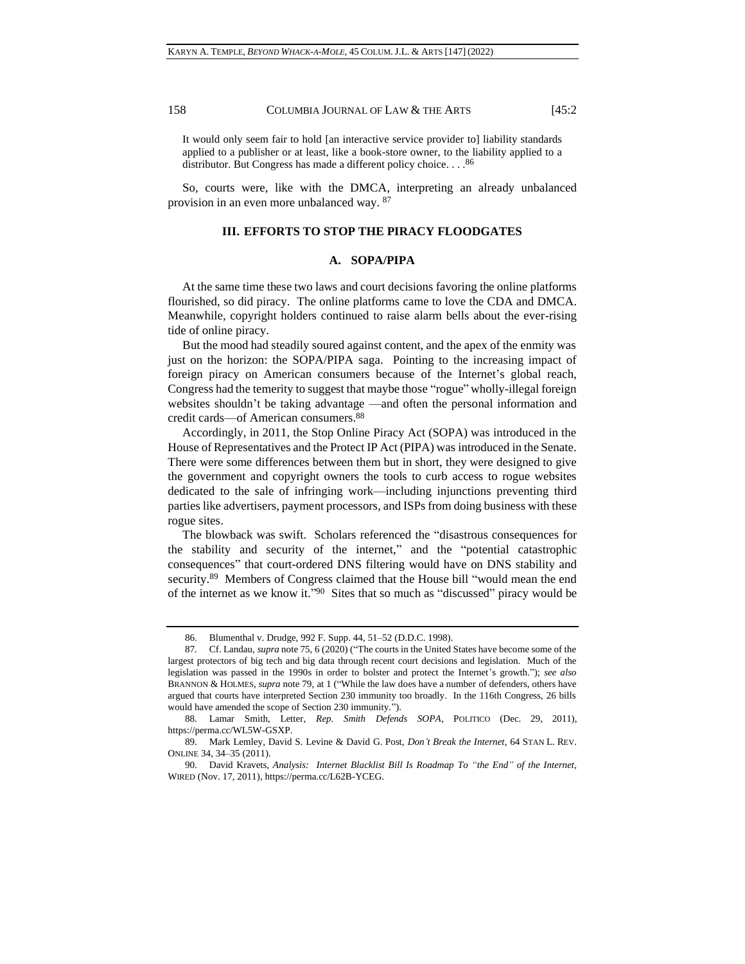It would only seem fair to hold [an interactive service provider to] liability standards applied to a publisher or at least, like a book-store owner, to the liability applied to a distributor. But Congress has made a different policy choice. . . . 86

So, courts were, like with the DMCA, interpreting an already unbalanced provision in an even more unbalanced way. <sup>87</sup>

## **III. EFFORTS TO STOP THE PIRACY FLOODGATES**

## **A. SOPA/PIPA**

At the same time these two laws and court decisions favoring the online platforms flourished, so did piracy. The online platforms came to love the CDA and DMCA. Meanwhile, copyright holders continued to raise alarm bells about the ever-rising tide of online piracy.

But the mood had steadily soured against content, and the apex of the enmity was just on the horizon: the SOPA/PIPA saga. Pointing to the increasing impact of foreign piracy on American consumers because of the Internet's global reach, Congress had the temerity to suggest that maybe those "rogue" wholly-illegal foreign websites shouldn't be taking advantage —and often the personal information and credit cards—of American consumers.<sup>88</sup>

Accordingly, in 2011, the Stop Online Piracy Act (SOPA) was introduced in the House of Representatives and the Protect IP Act (PIPA) was introduced in the Senate. There were some differences between them but in short, they were designed to give the government and copyright owners the tools to curb access to rogue websites dedicated to the sale of infringing work—including injunctions preventing third parties like advertisers, payment processors, and ISPs from doing business with these rogue sites.

The blowback was swift. Scholars referenced the "disastrous consequences for the stability and security of the internet," and the "potential catastrophic consequences" that court-ordered DNS filtering would have on DNS stability and security.<sup>89</sup> Members of Congress claimed that the House bill "would mean the end of the internet as we know it." 90 Sites that so much as "discussed" piracy would be

<sup>86.</sup> Blumenthal v. Drudge, 992 F. Supp. 44, 51–52 (D.D.C. 1998).

<sup>87.</sup> Cf. Landau, *supra* note [75,](#page-9-0) 6 (2020) ("The courts in the United States have become some of the largest protectors of big tech and big data through recent court decisions and legislation. Much of the legislation was passed in the 1990s in order to bolster and protect the Internet's growth."); *see also* BRANNON & HOLMES, *supra* not[e 79,](#page-10-1) at 1 ("While the law does have a number of defenders, others have argued that courts have interpreted Section 230 immunity too broadly. In the 116th Congress, 26 bills would have amended the scope of Section 230 immunity.").

<sup>88.</sup> Lamar Smith, Letter, *Rep. Smith Defends SOPA*, POLITICO (Dec. 29, 2011), https://perma.cc/WL5W-GSXP.

<sup>89.</sup> Mark Lemley, David S. Levine & David G. Post, *Don't Break the Internet*, 64 STAN L. REV. ONLINE 34, 34–35 (2011).

<sup>90.</sup> David Kravets, *Analysis: Internet Blacklist Bill Is Roadmap To "the End" of the Internet*, WIRED (Nov. 17, 2011), https://perma.cc/L62B-YCEG.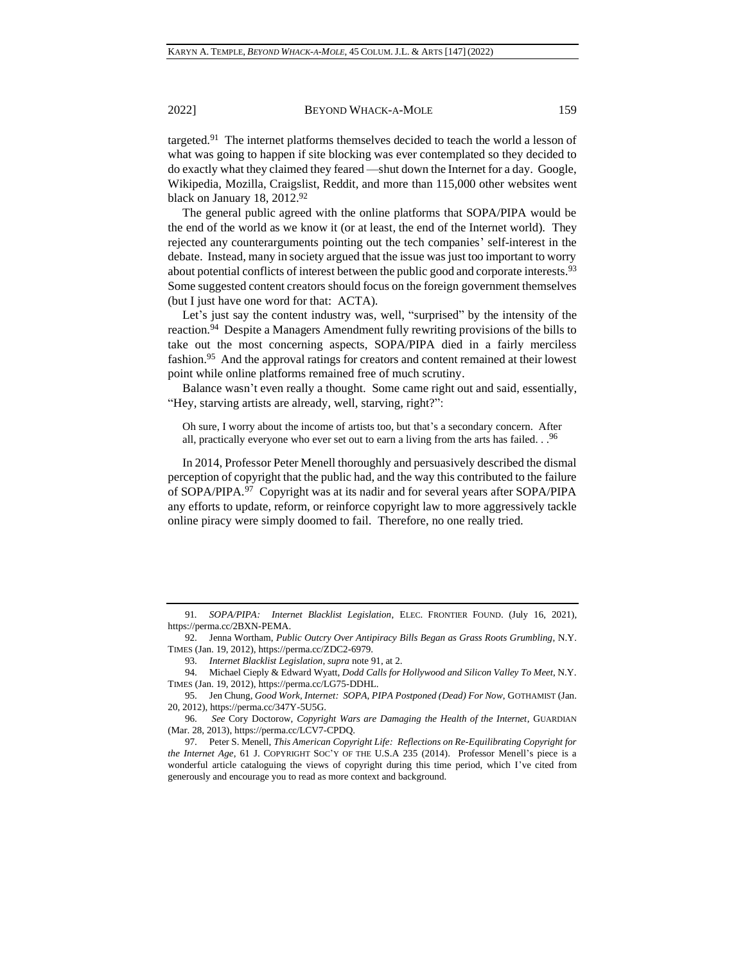<span id="page-12-0"></span>targeted.<sup>91</sup> The internet platforms themselves decided to teach the world a lesson of what was going to happen if site blocking was ever contemplated so they decided to do exactly what they claimed they feared —shut down the Internet for a day. Google, Wikipedia, Mozilla, Craigslist, Reddit, and more than 115,000 other websites went black on January 18, 2012.<sup>92</sup>

The general public agreed with the online platforms that SOPA/PIPA would be the end of the world as we know it (or at least, the end of the Internet world). They rejected any counterarguments pointing out the tech companies' self-interest in the debate. Instead, many in society argued that the issue was just too important to worry about potential conflicts of interest between the public good and corporate interests.<sup>93</sup> Some suggested content creators should focus on the foreign government themselves (but I just have one word for that: ACTA).

Let's just say the content industry was, well, "surprised" by the intensity of the reaction.<sup>94</sup> Despite a Managers Amendment fully rewriting provisions of the bills to take out the most concerning aspects, SOPA/PIPA died in a fairly merciless fashion.<sup>95</sup> And the approval ratings for creators and content remained at their lowest point while online platforms remained free of much scrutiny.

Balance wasn't even really a thought. Some came right out and said, essentially, "Hey, starving artists are already, well, starving, right?":

Oh sure, I worry about the income of artists too, but that's a secondary concern. After all, practically everyone who ever set out to earn a living from the arts has failed. . . <sup>96</sup>

In 2014, Professor Peter Menell thoroughly and persuasively described the dismal perception of copyright that the public had, and the way this contributed to the failure of SOPA/PIPA.<sup>97</sup> Copyright was at its nadir and for several years after SOPA/PIPA any efforts to update, reform, or reinforce copyright law to more aggressively tackle online piracy were simply doomed to fail. Therefore, no one really tried.

<sup>91</sup>*. SOPA/PIPA: Internet Blacklist Legislation*, ELEC. FRONTIER FOUND. (July 16, 2021), https://perma.cc/2BXN-PEMA.

<sup>92.</sup> Jenna Wortham, *Public Outcry Over Antipiracy Bills Began as Grass Roots Grumbling*, N.Y. TIMES (Jan. 19, 2012), https://perma.cc/ZDC2-6979.

<sup>93.</sup> *Internet Blacklist Legislation*, *supra* not[e 91,](#page-12-0) at 2.

<sup>94.</sup> Michael Cieply & Edward Wyatt, *Dodd Calls for Hollywood and Silicon Valley To Meet*, N.Y. TIMES (Jan. 19, 2012), https://perma.cc/LG75-DDHL.

<sup>95.</sup> Jen Chung, *Good Work, Internet: SOPA, PIPA Postponed (Dead) For Now*, GOTHAMIST (Jan. 20, 2012), https://perma.cc/347Y-5U5G.

<sup>96.</sup> *See* Cory Doctorow, *Copyright Wars are Damaging the Health of the Internet*, GUARDIAN (Mar. 28, 2013)[, https://perma.cc/LCV7-CPDQ.](https://perma.cc/LCV7-CPDQ)

<sup>97.</sup> Peter S. Menell, *This American Copyright Life: Reflections on Re-Equilibrating Copyright for the Internet Age*, 61 J. COPYRIGHT SOC'Y OF THE U.S.A 235 (2014). Professor Menell's piece is a wonderful article cataloguing the views of copyright during this time period, which I've cited from generously and encourage you to read as more context and background.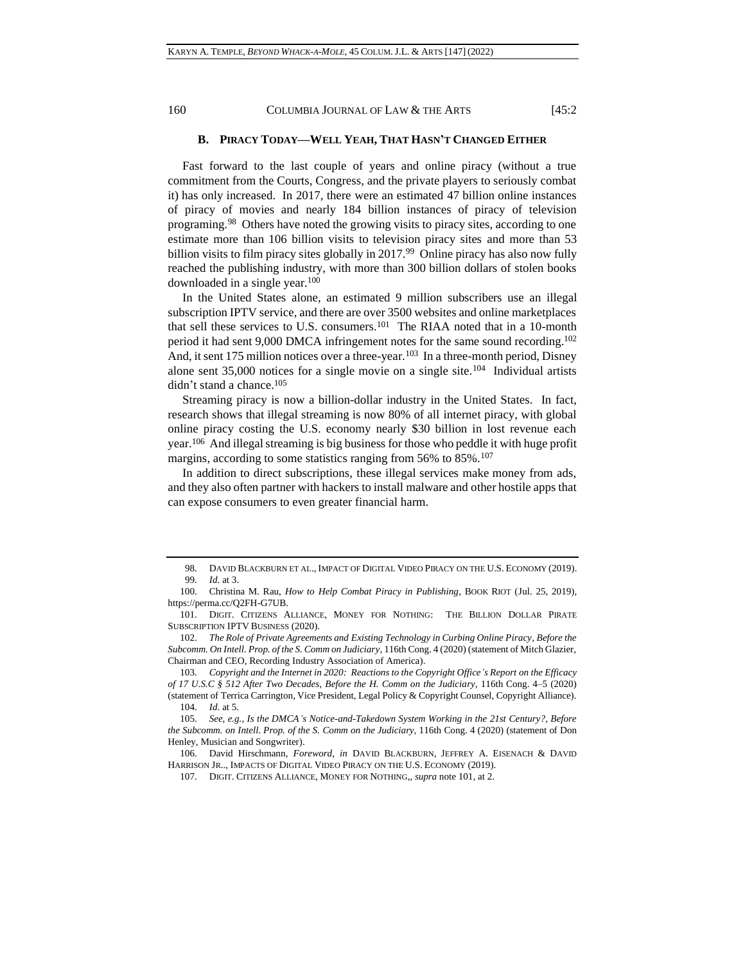## **B. PIRACY TODAY—WELL YEAH, THAT HASN'T CHANGED EITHER**

Fast forward to the last couple of years and online piracy (without a true commitment from the Courts, Congress, and the private players to seriously combat it) has only increased. In 2017, there were an estimated 47 billion online instances of piracy of movies and nearly 184 billion instances of piracy of television programing.<sup>98</sup> Others have noted the growing visits to piracy sites, according to one estimate more than 106 billion visits to television piracy sites and more than 53 billion visits to film piracy sites globally in 2017.<sup>99</sup> Online piracy has also now fully reached the publishing industry, with more than 300 billion dollars of stolen books downloaded in a single year.<sup>100</sup>

<span id="page-13-0"></span>In the United States alone, an estimated 9 million subscribers use an illegal subscription IPTV service, and there are over 3500 websites and online marketplaces that sell these services to U.S. consumers.<sup>101</sup> The RIAA noted that in a 10-month period it had sent 9,000 DMCA infringement notes for the same sound recording.<sup>102</sup> And, it sent 175 million notices over a three-year.<sup>103</sup> In a three-month period, Disney alone sent 35,000 notices for a single movie on a single site.<sup>104</sup> Individual artists didn't stand a chance.<sup>105</sup>

Streaming piracy is now a billion-dollar industry in the United States. In fact, research shows that illegal streaming is now 80% of all internet piracy, with global online piracy costing the U.S. economy nearly \$30 billion in lost revenue each year.<sup>106</sup> And illegal streaming is big business for those who peddle it with huge profit margins, according to some statistics ranging from 56% to 85%.<sup>107</sup>

In addition to direct subscriptions, these illegal services make money from ads, and they also often partner with hackers to install malware and other hostile apps that can expose consumers to even greater financial harm.

<sup>98.</sup> DAVID BLACKBURN ET AL., IMPACT OF DIGITAL VIDEO PIRACY ON THE U.S. ECONOMY (2019). 99. *Id*. at 3.

<sup>100.</sup> Christina M. Rau, *How to Help Combat Piracy in Publishing*, BOOK RIOT (Jul. 25, 2019), [https://perma.cc/Q2FH-G7UB.](https://perma.cc/Q2FH-G7UB)

<sup>101.</sup> DIGIT. CITIZENS ALLIANCE, MONEY FOR NOTHING: THE BILLION DOLLAR PIRATE SUBSCRIPTION IPTV BUSINESS (2020).

<sup>102.</sup> *The Role of Private Agreements and Existing Technology in Curbing Online Piracy*, *Before the Subcomm. On Intell. Prop. of the S. Comm on Judiciary*, 116th Cong. 4 (2020) (statement of Mitch Glazier, Chairman and CEO, Recording Industry Association of America).

<sup>103.</sup> *Copyright and the Internet in 2020: Reactions to the Copyright Office's Report on the Efficacy of 17 U.S.C § 512 After Two Decades, Before the H. Comm on the Judiciary*, 116th Cong. 4–5 (2020) (statement of Terrica Carrington, Vice President, Legal Policy & Copyright Counsel, Copyright Alliance).

<sup>104.</sup> *Id*. at 5.

<sup>105.</sup> *See, e.g.*, *Is the DMCA's Notice-and-Takedown System Working in the 21st Century?, Before the Subcomm. on Intell. Prop. of the S. Comm on the Judiciary,* 116th Cong. 4 (2020) (statement of Don Henley, Musician and Songwriter).

<sup>106.</sup> David Hirschmann*, Foreword*, *in* DAVID BLACKBURN, JEFFREY A. EISENACH & DAVID HARRISON JR.., IMPACTS OF DIGITAL VIDEO PIRACY ON THE U.S. ECONOMY (2019).

<sup>107.</sup> DIGIT. CITIZENS ALLIANCE, MONEY FOR NOTHING,, *supra* note [101,](#page-13-0) at 2.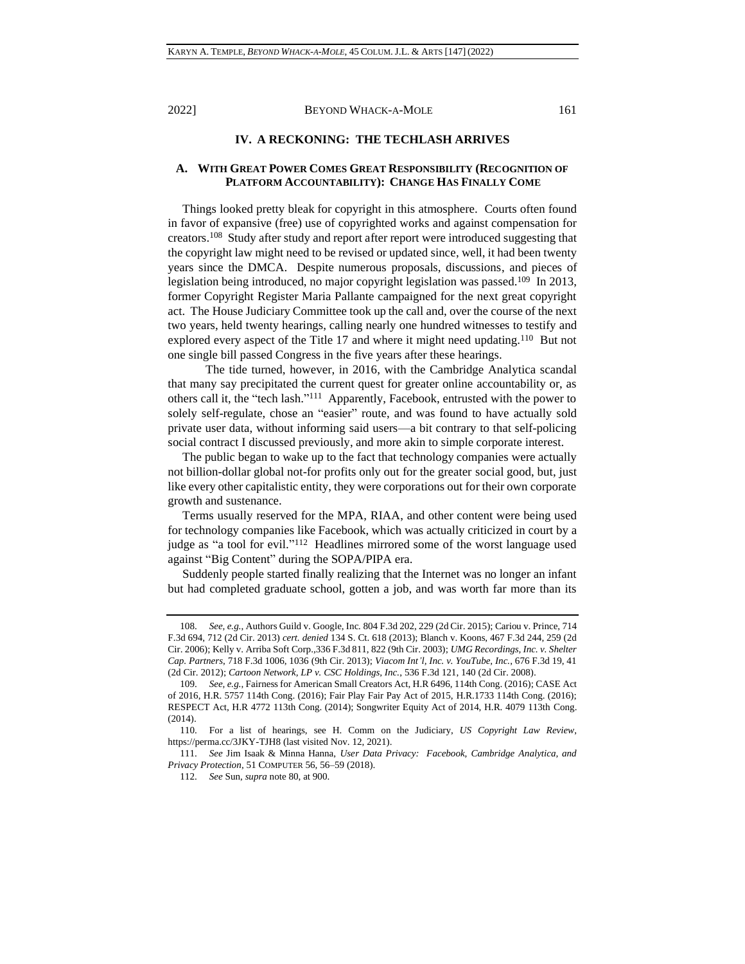## **IV. A RECKONING: THE TECHLASH ARRIVES**

## **A. WITH GREAT POWER COMES GREAT RESPONSIBILITY (RECOGNITION OF PLATFORM ACCOUNTABILITY): CHANGE HAS FINALLY COME**

Things looked pretty bleak for copyright in this atmosphere. Courts often found in favor of expansive (free) use of copyrighted works and against compensation for creators.<sup>108</sup> Study after study and report after report were introduced suggesting that the copyright law might need to be revised or updated since, well, it had been twenty years since the DMCA. Despite numerous proposals, discussions, and pieces of legislation being introduced, no major copyright legislation was passed.<sup>109</sup> In 2013, former Copyright Register Maria Pallante campaigned for the next great copyright act. The House Judiciary Committee took up the call and, over the course of the next two years, held twenty hearings, calling nearly one hundred witnesses to testify and explored every aspect of the Title 17 and where it might need updating.<sup>110</sup> But not one single bill passed Congress in the five years after these hearings.

The tide turned, however, in 2016, with the Cambridge Analytica scandal that many say precipitated the current quest for greater online accountability or, as others call it, the "tech lash." 111 Apparently, Facebook, entrusted with the power to solely self-regulate, chose an "easier" route, and was found to have actually sold private user data, without informing said users—a bit contrary to that self-policing social contract I discussed previously, and more akin to simple corporate interest.

The public began to wake up to the fact that technology companies were actually not billion-dollar global not-for profits only out for the greater social good, but, just like every other capitalistic entity, they were corporations out for their own corporate growth and sustenance.

Terms usually reserved for the MPA, RIAA, and other content were being used for technology companies like Facebook, which was actually criticized in court by a judge as "a tool for evil."<sup>112</sup> Headlines mirrored some of the worst language used against "Big Content" during the SOPA/PIPA era.

Suddenly people started finally realizing that the Internet was no longer an infant but had completed graduate school, gotten a job, and was worth far more than its

<sup>108.</sup> *See, e.g.*, Authors Guild v. Google, Inc*.* 804 F.3d 202, 229 (2d Cir. 2015); Cariou v. Prince, 714 F.3d 694, 712 (2d Cir. 2013) *cert. denied* 134 S. Ct. 618 (2013); Blanch v. Koons, 467 F.3d 244, 259 (2d Cir. 2006); Kelly v. Arriba Soft Corp.,336 F.3d 811, 822 (9th Cir. 2003); *UMG Recordings, Inc. v. Shelter Cap. Partners*, 718 F.3d 1006, 1036 (9th Cir. 2013); *Viacom Int'l, Inc. v. YouTube, Inc.*, 676 F.3d 19, 41 (2d Cir. 2012); *Cartoon Network, LP v. CSC Holdings, Inc.*, 536 F.3d 121, 140 (2d Cir. 2008).

<sup>109.</sup> *See, e.g.*, Fairness for American Small Creators Act, H.R 6496, 114th Cong. (2016); CASE Act of 2016, H.R. 5757 114th Cong. (2016); Fair Play Fair Pay Act of 2015, H.R.1733 114th Cong. (2016); RESPECT Act, H.R 4772 113th Cong. (2014); Songwriter Equity Act of 2014, H.R. 4079 113th Cong. (2014).

<sup>110.</sup> For a list of hearings, see H. Comm on the Judiciary, *US Copyright Law Review*, <https://perma.cc/3JKY-TJH8> (last visited Nov. 12, 2021).

<sup>111.</sup> *See* Jim Isaak & Minna Hanna, *User Data Privacy: Facebook, Cambridge Analytica, and Privacy Protection*, 51 COMPUTER 56, 56–59 (2018).

<sup>112.</sup> *See* Sun, *supra* note [80,](#page-10-2) at 900.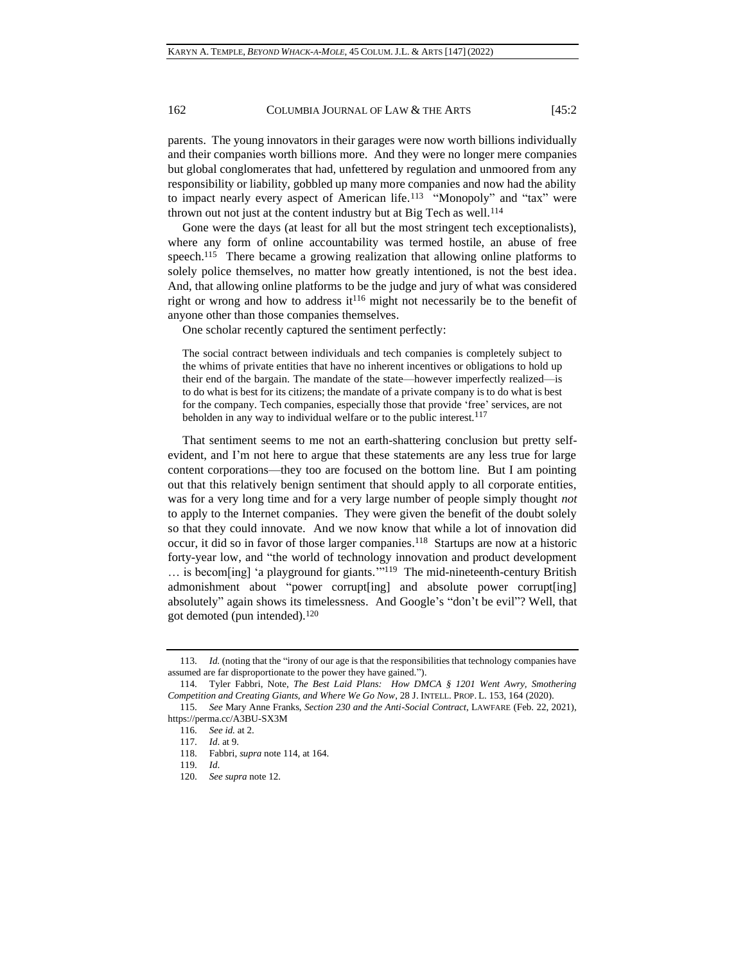parents. The young innovators in their garages were now worth billions individually and their companies worth billions more. And they were no longer mere companies but global conglomerates that had, unfettered by regulation and unmoored from any responsibility or liability, gobbled up many more companies and now had the ability to impact nearly every aspect of American life.<sup>113</sup> "Monopoly" and "tax" were thrown out not just at the content industry but at Big Tech as well.<sup>114</sup>

<span id="page-15-0"></span>Gone were the days (at least for all but the most stringent tech exceptionalists), where any form of online accountability was termed hostile, an abuse of free speech.<sup>115</sup> There became a growing realization that allowing online platforms to solely police themselves, no matter how greatly intentioned, is not the best idea. And, that allowing online platforms to be the judge and jury of what was considered right or wrong and how to address it<sup>116</sup> might not necessarily be to the benefit of anyone other than those companies themselves.

One scholar recently captured the sentiment perfectly:

The social contract between individuals and tech companies is completely subject to the whims of private entities that have no inherent incentives or obligations to hold up their end of the bargain. The mandate of the state—however imperfectly realized—is to do what is best for its citizens; the mandate of a private company is to do what is best for the company. Tech companies, especially those that provide 'free' services, are not beholden in any way to individual welfare or to the public interest.<sup>117</sup>

That sentiment seems to me not an earth-shattering conclusion but pretty selfevident, and I'm not here to argue that these statements are any less true for large content corporations—they too are focused on the bottom line. But I am pointing out that this relatively benign sentiment that should apply to all corporate entities, was for a very long time and for a very large number of people simply thought *not*  to apply to the Internet companies. They were given the benefit of the doubt solely so that they could innovate. And we now know that while a lot of innovation did occur, it did so in favor of those larger companies.<sup>118</sup> Startups are now at a historic forty-year low, and "the world of technology innovation and product development ... is becom[ing] 'a playground for giants."<sup>119</sup> The mid-nineteenth-century British admonishment about "power corrupt[ing] and absolute power corrupt[ing] absolutely" again shows its timelessness. And Google's "don't be evil"? Well, that got demoted (pun intended).<sup>120</sup>

<sup>113.</sup> *Id.* (noting that the "irony of our age is that the responsibilities that technology companies have assumed are far disproportionate to the power they have gained.").

<sup>114.</sup> Tyler Fabbri, Note, *The Best Laid Plans: How DMCA § 1201 Went Awry, Smothering Competition and Creating Giants, and Where We Go Now*, 28 J. INTELL. PROP. L. 153, 164 (2020).

<sup>115.</sup> *See* Mary Anne Franks, *Section 230 and the Anti-Social Contract*, LAWFARE (Feb. 22, 2021), <https://perma.cc/A3BU-SX3M>

<sup>116.</sup> *See id.* at 2.

<sup>117.</sup> *Id*. at 9.

<sup>118.</sup> Fabbri, *supra* note [114,](#page-15-0) at 164.

<sup>119.</sup> *Id*.

<sup>120.</sup> *See supra* note [12.](#page-2-1)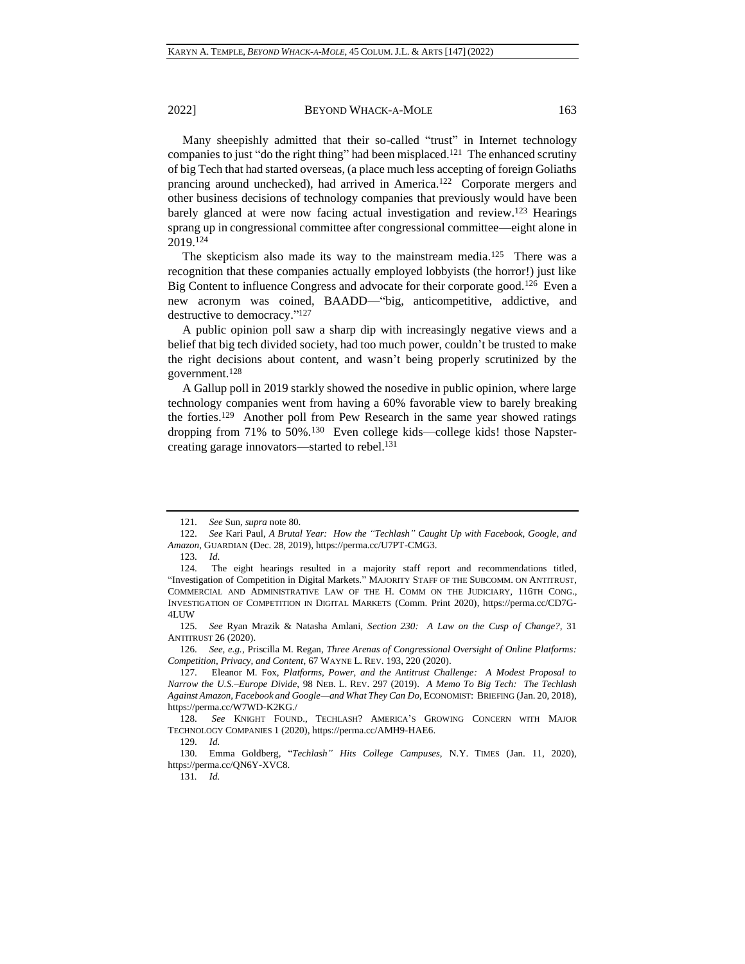Many sheepishly admitted that their so-called "trust" in Internet technology companies to just "do the right thing" had been misplaced.<sup>121</sup> The enhanced scrutiny of big Tech that had started overseas, (a place much less accepting of foreign Goliaths prancing around unchecked), had arrived in America.<sup>122</sup> Corporate mergers and other business decisions of technology companies that previously would have been barely glanced at were now facing actual investigation and review.<sup>123</sup> Hearings sprang up in congressional committee after congressional committee—eight alone in 2019.<sup>124</sup>

The skepticism also made its way to the mainstream media.<sup>125</sup> There was a recognition that these companies actually employed lobbyists (the horror!) just like Big Content to influence Congress and advocate for their corporate good.<sup>126</sup> Even a new acronym was coined, BAADD—"big, anticompetitive, addictive, and destructive to democracy." 127

A public opinion poll saw a sharp dip with increasingly negative views and a belief that big tech divided society, had too much power, couldn't be trusted to make the right decisions about content, and wasn't being properly scrutinized by the government.<sup>128</sup>

A Gallup poll in 2019 starkly showed the nosedive in public opinion, where large technology companies went from having a 60% favorable view to barely breaking the forties.<sup>129</sup> Another poll from Pew Research in the same year showed ratings dropping from 71% to 50%.<sup>130</sup> Even college kids—college kids! those Napstercreating garage innovators—started to rebel.<sup>131</sup>

131*. Id.*

<sup>121.</sup> *See* Sun, *supra* not[e 80.](#page-10-2)

<sup>122.</sup> *See* Kari Paul, *A Brutal Year: How the "Techlash" Caught Up with Facebook, Google, and Amazon*, GUARDIAN (Dec. 28, 2019), https://perma.cc/U7PT-CMG3.

<sup>123.</sup> *Id*.

<sup>124.</sup> The eight hearings resulted in a majority staff report and recommendations titled, "Investigation of Competition in Digital Markets." MAJORITY STAFF OF THE SUBCOMM. ON ANTITRUST, COMMERCIAL AND ADMINISTRATIVE LAW OF THE H. COMM ON THE JUDICIARY, 116TH CONG., INVESTIGATION OF COMPETITION IN DIGITAL MARKETS (Comm. Print 2020), https://perma.cc/CD7G-4LUW

<sup>125.</sup> *See* Ryan Mrazik & Natasha Amlani, *Section 230: A Law on the Cusp of Change?,* 31 ANTITRUST 26 (2020).

<sup>126.</sup> *See, e.g.*, Priscilla M. Regan, *Three Arenas of Congressional Oversight of Online Platforms: Competition, Privacy, and Content*, 67 WAYNE L. REV. 193, 220 (2020).

<sup>127.</sup> Eleanor M. Fox, *Platforms, Power, and the Antitrust Challenge: A Modest Proposal to Narrow the U.S.–Europe Divide*, 98 NEB. L. REV. 297 (2019). *A Memo To Big Tech: The Techlash Against Amazon, Facebook and Google—and What They Can Do*, ECONOMIST: BRIEFING (Jan. 20, 2018), https://perma.cc/W7WD-K2KG./

<sup>128.</sup> *See* KNIGHT FOUND., TECHLASH? AMERICA'S GROWING CONCERN WITH MAJOR TECHNOLOGY COMPANIES 1 (2020), https://perma.cc/AMH9-HAE6.

<sup>129.</sup> *Id.*

<sup>130.</sup> Emma Goldberg, "*Techlash" Hits College Campuses*, N.Y. TIMES (Jan. 11, 2020), https://perma.cc/QN6Y-XVC8.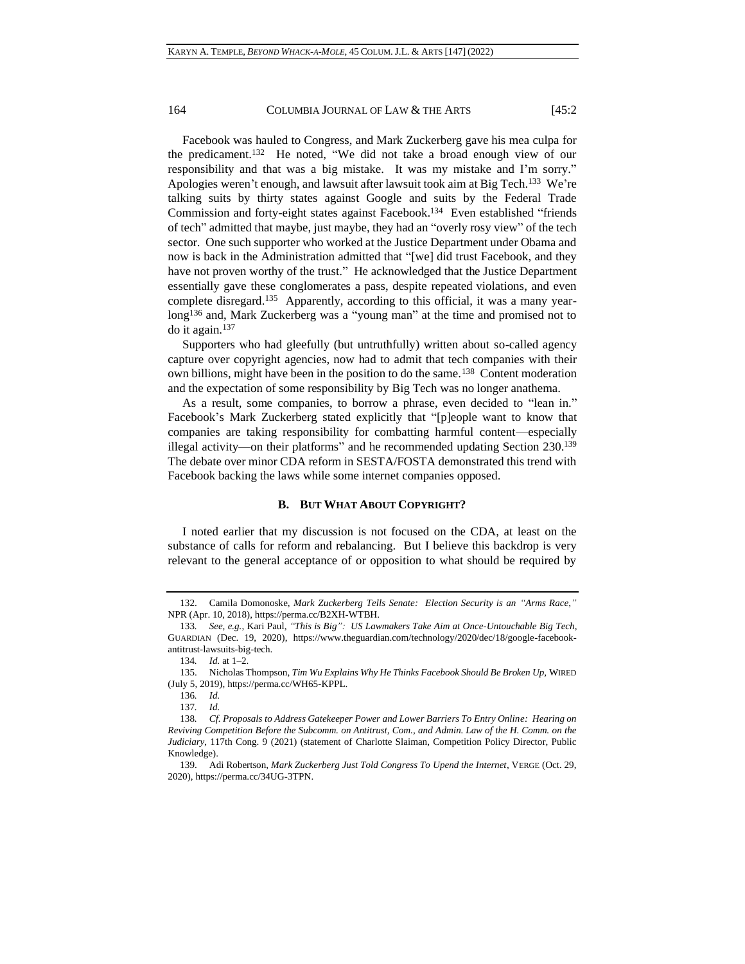Facebook was hauled to Congress, and Mark Zuckerberg gave his mea culpa for the predicament. 132 He noted, "We did not take a broad enough view of our responsibility and that was a big mistake. It was my mistake and I'm sorry." Apologies weren't enough, and lawsuit after lawsuit took aim at Big Tech.<sup>133</sup> We're talking suits by thirty states against Google and suits by the Federal Trade Commission and forty-eight states against Facebook.<sup>134</sup> Even established "friends of tech" admitted that maybe, just maybe, they had an "overly rosy view" of the tech sector. One such supporter who worked at the Justice Department under Obama and now is back in the Administration admitted that "[we] did trust Facebook, and they have not proven worthy of the trust." He acknowledged that the Justice Department essentially gave these conglomerates a pass, despite repeated violations, and even complete disregard.<sup>135</sup> Apparently, according to this official, it was a many yearlong<sup>136</sup> and, Mark Zuckerberg was a "young man" at the time and promised not to do it again.<sup>137</sup>

Supporters who had gleefully (but untruthfully) written about so-called agency capture over copyright agencies, now had to admit that tech companies with their own billions, might have been in the position to do the same.<sup>138</sup> Content moderation and the expectation of some responsibility by Big Tech was no longer anathema.

As a result, some companies, to borrow a phrase, even decided to "lean in." Facebook's Mark Zuckerberg stated explicitly that "[p]eople want to know that companies are taking responsibility for combatting harmful content—especially illegal activity—on their platforms" and he recommended updating Section 230.<sup>139</sup> The debate over minor CDA reform in SESTA/FOSTA demonstrated this trend with Facebook backing the laws while some internet companies opposed.

## **B. BUT WHAT ABOUT COPYRIGHT?**

I noted earlier that my discussion is not focused on the CDA, at least on the substance of calls for reform and rebalancing. But I believe this backdrop is very relevant to the general acceptance of or opposition to what should be required by

<sup>132.</sup> Camila Domonoske, *Mark Zuckerberg Tells Senate: Election Security is an "Arms Race*,*"* NPR (Apr. 10, 2018), https://perma.cc/B2XH-WTBH.

<sup>133</sup>*. See, e.g.*, Kari Paul, *"This is Big": US Lawmakers Take Aim at Once-Untouchable Big Tech*, GUARDIAN (Dec. 19, 2020), https://www.theguardian.com/technology/2020/dec/18/google-facebookantitrust-lawsuits-big-tech.

<sup>134</sup>*. Id.* at 1–2.

<sup>135.</sup> Nicholas Thompson, *Tim Wu Explains Why He Thinks Facebook Should Be Broken Up,* WIRED (July 5, 2019), https://perma.cc/WH65-KPPL.

<sup>136</sup>*. Id.*

<sup>137</sup>*. Id.*

<sup>138</sup>*. Cf. Proposals to Address Gatekeeper Power and Lower Barriers To Entry Online: Hearing on Reviving Competition Before the Subcomm. on Antitrust, Com., and Admin. Law of the H. Comm. on the Judiciary*, 117th Cong. 9 (2021) (statement of Charlotte Slaiman, Competition Policy Director, Public Knowledge).

<sup>139.</sup> Adi Robertson, *Mark Zuckerberg Just Told Congress To Upend the Internet*, VERGE (Oct. 29, 2020), https://perma.cc/34UG-3TPN.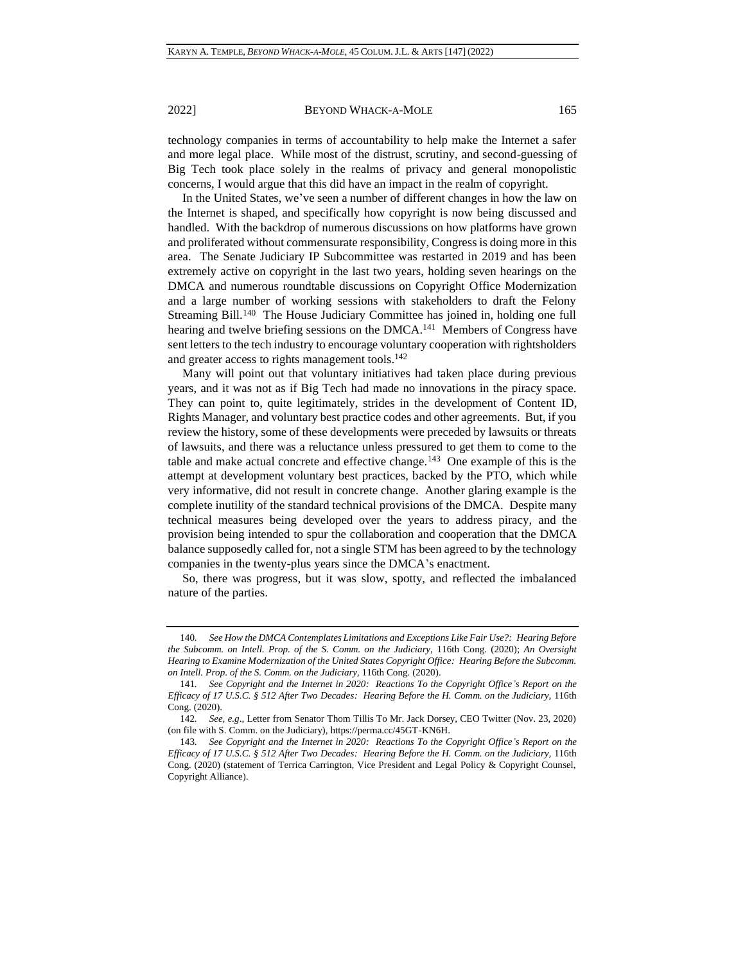technology companies in terms of accountability to help make the Internet a safer and more legal place. While most of the distrust, scrutiny, and second-guessing of Big Tech took place solely in the realms of privacy and general monopolistic concerns, I would argue that this did have an impact in the realm of copyright.

In the United States, we've seen a number of different changes in how the law on the Internet is shaped, and specifically how copyright is now being discussed and handled. With the backdrop of numerous discussions on how platforms have grown and proliferated without commensurate responsibility, Congress is doing more in this area. The Senate Judiciary IP Subcommittee was restarted in 2019 and has been extremely active on copyright in the last two years, holding seven hearings on the DMCA and numerous roundtable discussions on Copyright Office Modernization and a large number of working sessions with stakeholders to draft the Felony Streaming Bill.<sup>140</sup> The House Judiciary Committee has joined in, holding one full hearing and twelve briefing sessions on the DMCA.<sup>141</sup> Members of Congress have sent letters to the tech industry to encourage voluntary cooperation with rightsholders and greater access to rights management tools.<sup>142</sup>

<span id="page-18-0"></span>Many will point out that voluntary initiatives had taken place during previous years, and it was not as if Big Tech had made no innovations in the piracy space. They can point to, quite legitimately, strides in the development of Content ID, Rights Manager, and voluntary best practice codes and other agreements. But, if you review the history, some of these developments were preceded by lawsuits or threats of lawsuits, and there was a reluctance unless pressured to get them to come to the table and make actual concrete and effective change.<sup>143</sup> One example of this is the attempt at development voluntary best practices, backed by the PTO, which while very informative, did not result in concrete change. Another glaring example is the complete inutility of the standard technical provisions of the DMCA. Despite many technical measures being developed over the years to address piracy, and the provision being intended to spur the collaboration and cooperation that the DMCA balance supposedly called for, not a single STM has been agreed to by the technology companies in the twenty-plus years since the DMCA's enactment.

So, there was progress, but it was slow, spotty, and reflected the imbalanced nature of the parties.

<sup>140</sup>*. See How the DMCA Contemplates Limitations and Exceptions Like Fair Use?: Hearing Before the Subcomm. on Intell. Prop. of the S. Comm. on the Judiciary,* 116th Cong. (2020); *An Oversight Hearing to Examine Modernization of the United States Copyright Office: Hearing Before the Subcomm. on Intell. Prop. of the S. Comm. on the Judiciary,* 116th Cong. (2020).

<sup>141</sup>*. See Copyright and the Internet in 2020: Reactions To the Copyright Office's Report on the Efficacy of 17 U.S.C. § 512 After Two Decades: Hearing Before the H. Comm. on the Judiciary,* 116th Cong. (2020).

<sup>142</sup>*. See, e.g*., Letter from Senator Thom Tillis To Mr. Jack Dorsey, CEO Twitter (Nov. 23, 2020) (on file with S. Comm. on the Judiciary), https://perma.cc/45GT-KN6H.

<sup>143</sup>*. See Copyright and the Internet in 2020: Reactions To the Copyright Office's Report on the Efficacy of 17 U.S.C. § 512 After Two Decades: Hearing Before the H. Comm. on the Judiciary,* 116th Cong. (2020) (statement of Terrica Carrington, Vice President and Legal Policy & Copyright Counsel, Copyright Alliance).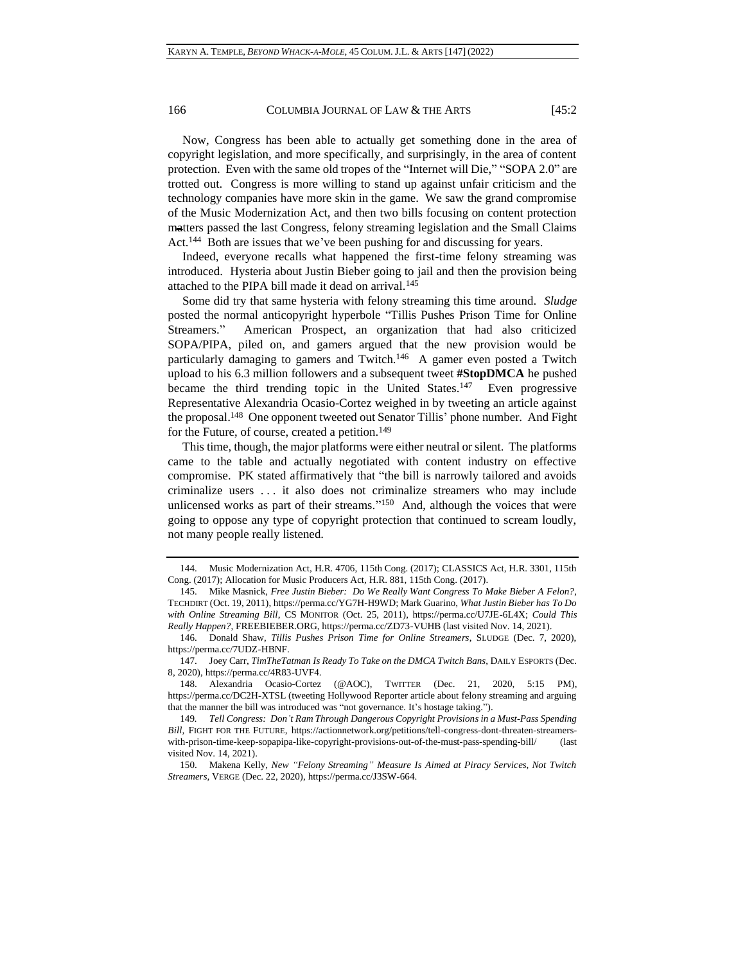Now, Congress has been able to actually get something done in the area of copyright legislation, and more specifically, and surprisingly, in the area of content protection. Even with the same old tropes of the "Internet will Die," "SOPA 2.0" are trotted out. Congress is more willing to stand up against unfair criticism and the technology companies have more skin in the game. We saw the grand compromise of the Music Modernization Act, and then two bills focusing on content protection matters passed the last Congress, felony streaming legislation and the Small Claims Act.<sup>144</sup> Both are issues that we've been pushing for and discussing for years.

Indeed, everyone recalls what happened the first-time felony streaming was introduced. Hysteria about Justin Bieber going to jail and then the provision being attached to the PIPA bill made it dead on arrival.<sup>145</sup>

Some did try that same hysteria with felony streaming this time around. *Sludge* posted the normal anticopyright hyperbole "Tillis Pushes Prison Time for Online Streamers." American Prospect, an organization that had also criticized SOPA/PIPA, piled on, and gamers argued that the new provision would be particularly damaging to gamers and Twitch.<sup>146</sup> A gamer even posted a Twitch upload to his 6.3 million followers and a subsequent tweet **#StopDMCA** he pushed became the third trending topic in the United States.<sup>147</sup> Even progressive Representative Alexandria Ocasio-Cortez weighed in by tweeting an article against the proposal.<sup>148</sup> One opponent tweeted out Senator Tillis' phone number. And Fight for the Future, of course, created a petition.<sup>149</sup>

This time, though, the major platforms were either neutral or silent. The platforms came to the table and actually negotiated with content industry on effective compromise. PK stated affirmatively that "the bill is narrowly tailored and avoids criminalize users . . . it also does not criminalize streamers who may include unlicensed works as part of their streams." 150 And, although the voices that were going to oppose any type of copyright protection that continued to scream loudly, not many people really listened.

<sup>144.</sup> Music Modernization Act, H.R. 4706, 115th Cong. (2017); CLASSICS Act, H.R. 3301, 115th Cong. (2017); Allocation for Music Producers Act, H.R. 881, 115th Cong. (2017).

<sup>145.</sup> Mike Masnick, *Free Justin Bieber: Do We Really Want Congress To Make Bieber A Felon?*, TECHDIRT (Oct. 19, 2011), https://perma.cc/YG7H-H9WD; Mark Guarino, *What Justin Bieber has To Do with Online Streaming Bill*, CS MONITOR (Oct. 25, 2011), https://perma.cc/U7JE-6L4X; *Could This Really Happen?*, FREEBIEBER.ORG, https://perma.cc/ZD73-VUHB (last visited Nov. 14, 2021).

<sup>146.</sup> Donald Shaw, *Tillis Pushes Prison Time for Online Streamers*, SLUDGE (Dec. 7, 2020), https://perma.cc/7UDZ-HBNF.

<sup>147.</sup> Joey Carr, *TimTheTatman Is Ready To Take on the DMCA Twitch Bans*, DAILY ESPORTS (Dec. 8, 2020), https://perma.cc/4R83-UVF4.

<sup>148.</sup> Alexandria Ocasio-Cortez (@AOC), TWITTER (Dec. 21, 2020, 5:15 PM), https://perma.cc/DC2H-XTSL (tweeting Hollywood Reporter article about felony streaming and arguing that the manner the bill was introduced was "not governance. It's hostage taking.").

<sup>149</sup>*. Tell Congress: Don't Ram Through Dangerous Copyright Provisions in a Must-Pass Spending Bill,* FIGHT FOR THE FUTURE, https://actionnetwork.org/petitions/tell-congress-dont-threaten-streamerswith-prison-time-keep-sopapipa-like-copyright-provisions-out-of-the-must-pass-spending-bill/ (last visited Nov. 14, 2021).

<sup>150.</sup> Makena Kelly, *New "Felony Streaming" Measure Is Aimed at Piracy Services, Not Twitch Streamers*, VERGE (Dec. 22, 2020), https://perma.cc/J3SW-664.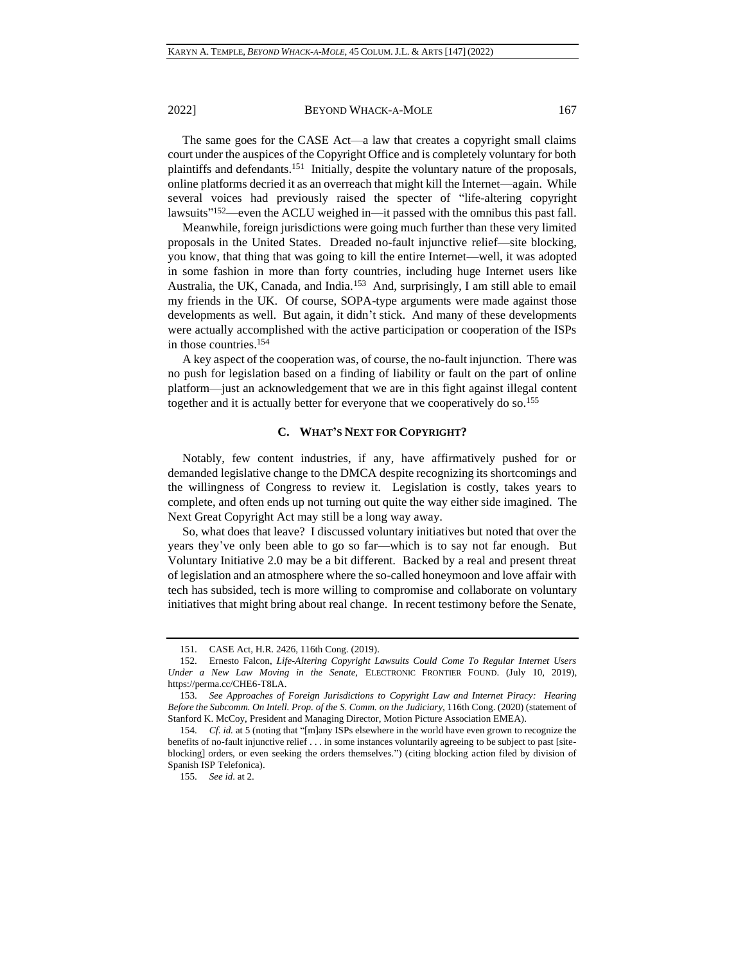The same goes for the CASE Act—a law that creates a copyright small claims court under the auspices of the Copyright Office and is completely voluntary for both plaintiffs and defendants.<sup>151</sup> Initially, despite the voluntary nature of the proposals, online platforms decried it as an overreach that might kill the Internet—again. While several voices had previously raised the specter of "life-altering copyright lawsuits" <sup>152</sup>—even the ACLU weighed in—it passed with the omnibus this past fall.

Meanwhile, foreign jurisdictions were going much further than these very limited proposals in the United States. Dreaded no-fault injunctive relief—site blocking, you know, that thing that was going to kill the entire Internet—well, it was adopted in some fashion in more than forty countries, including huge Internet users like Australia, the UK, Canada, and India.<sup>153</sup> And, surprisingly, I am still able to email my friends in the UK. Of course, SOPA-type arguments were made against those developments as well. But again, it didn't stick. And many of these developments were actually accomplished with the active participation or cooperation of the ISPs in those countries.<sup>154</sup>

A key aspect of the cooperation was, of course, the no-fault injunction. There was no push for legislation based on a finding of liability or fault on the part of online platform—just an acknowledgement that we are in this fight against illegal content together and it is actually better for everyone that we cooperatively do so.<sup>155</sup>

### **C. WHAT'S NEXT FOR COPYRIGHT?**

Notably, few content industries, if any, have affirmatively pushed for or demanded legislative change to the DMCA despite recognizing its shortcomings and the willingness of Congress to review it. Legislation is costly, takes years to complete, and often ends up not turning out quite the way either side imagined. The Next Great Copyright Act may still be a long way away.

So, what does that leave? I discussed voluntary initiatives but noted that over the years they've only been able to go so far—which is to say not far enough. But Voluntary Initiative 2.0 may be a bit different. Backed by a real and present threat of legislation and an atmosphere where the so-called honeymoon and love affair with tech has subsided, tech is more willing to compromise and collaborate on voluntary initiatives that might bring about real change. In recent testimony before the Senate,

<sup>151.</sup> CASE Act, H.R. 2426, 116th Cong. (2019).

<sup>152.</sup> Ernesto Falcon, *Life-Altering Copyright Lawsuits Could Come To Regular Internet Users Under a New Law Moving in the Senate,* ELECTRONIC FRONTIER FOUND. (July 10, 2019), https://perma.cc/CHE6-T8LA.

<sup>153.</sup> *See Approaches of Foreign Jurisdictions to Copyright Law and Internet Piracy: Hearing Before the Subcomm. On Intell. Prop. of the S. Comm. on the Judiciary*, 116th Cong. (2020) (statement of Stanford K. McCoy, President and Managing Director, Motion Picture Association EMEA).

<sup>154.</sup> *Cf. id.* at 5 (noting that "[m]any ISPs elsewhere in the world have even grown to recognize the benefits of no-fault injunctive relief . . . in some instances voluntarily agreeing to be subject to past [siteblocking] orders, or even seeking the orders themselves.") (citing blocking action filed by division of Spanish ISP Telefonica).

<sup>155.</sup> *See id*. at 2.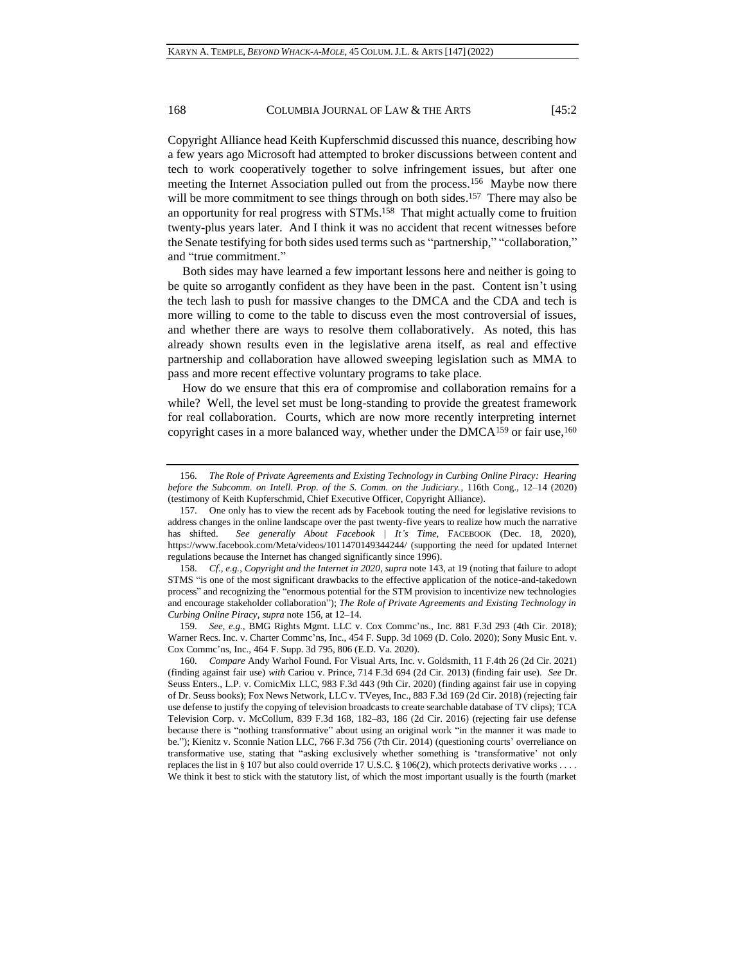<span id="page-21-0"></span>Copyright Alliance head Keith Kupferschmid discussed this nuance, describing how a few years ago Microsoft had attempted to broker discussions between content and tech to work cooperatively together to solve infringement issues, but after one meeting the Internet Association pulled out from the process.<sup>156</sup> Maybe now there will be more commitment to see things through on both sides.<sup>157</sup> There may also be an opportunity for real progress with STMs.<sup>158</sup> That might actually come to fruition twenty-plus years later. And I think it was no accident that recent witnesses before the Senate testifying for both sides used terms such as "partnership," "collaboration," and "true commitment."

Both sides may have learned a few important lessons here and neither is going to be quite so arrogantly confident as they have been in the past. Content isn't using the tech lash to push for massive changes to the DMCA and the CDA and tech is more willing to come to the table to discuss even the most controversial of issues, and whether there are ways to resolve them collaboratively. As noted, this has already shown results even in the legislative arena itself, as real and effective partnership and collaboration have allowed sweeping legislation such as MMA to pass and more recent effective voluntary programs to take place.

How do we ensure that this era of compromise and collaboration remains for a while? Well, the level set must be long-standing to provide the greatest framework for real collaboration. Courts, which are now more recently interpreting internet copyright cases in a more balanced way, whether under the DMCA<sup>159</sup> or fair use,<sup>160</sup>

159. *See, e.g.*, BMG Rights Mgmt. LLC v. Cox Commc'ns., Inc. 881 F.3d 293 (4th Cir. 2018); Warner Recs. Inc. v. Charter Commc'ns, Inc., 454 F. Supp. 3d 1069 (D. Colo. 2020); Sony Music Ent. v. Cox Commc'ns, Inc., 464 F. Supp. 3d 795, 806 (E.D. Va. 2020).

<sup>156.</sup> *The Role of Private Agreements and Existing Technology in Curbing Online Piracy: Hearing before the Subcomm. on Intell. Prop. of the S. Comm. on the Judiciary.*, 116th Cong., 12–14 (2020) (testimony of Keith Kupferschmid, Chief Executive Officer, Copyright Alliance).

<sup>157.</sup> One only has to view the recent ads by Facebook touting the need for legislative revisions to address changes in the online landscape over the past twenty-five years to realize how much the narrative has shifted. *See generally About Facebook | It's Time*, FACEBOOK (Dec. 18, 2020), https://www.facebook.com/Meta/videos/1011470149344244/ (supporting the need for updated Internet regulations because the Internet has changed significantly since 1996).

<sup>158.</sup> *Cf., e.g.*, *Copyright and the Internet in 2020*, *supra* note [143,](#page-18-0) at 19 (noting that failure to adopt STMS "is one of the most significant drawbacks to the effective application of the notice-and-takedown process" and recognizing the "enormous potential for the STM provision to incentivize new technologies and encourage stakeholder collaboration"); *The Role of Private Agreements and Existing Technology in Curbing Online Piracy*, *supra* note [156,](#page-21-0) at 12–14.

<sup>160.</sup> *Compare* Andy Warhol Found. For Visual Arts, Inc. v. Goldsmith, 11 F.4th 26 (2d Cir. 2021) (finding against fair use) *with* Cariou v. Prince, 714 F.3d 694 (2d Cir. 2013) (finding fair use). *See* Dr. Seuss Enters., L.P. v. ComicMix LLC, 983 F.3d 443 (9th Cir. 2020) (finding against fair use in copying of Dr. Seuss books); Fox News Network, LLC v. TVeyes, Inc., 883 F.3d 169 (2d Cir. 2018) (rejecting fair use defense to justify the copying of television broadcasts to create searchable database of TV clips); TCA Television Corp. v. McCollum, 839 F.3d 168, 182–83, 186 (2d Cir. 2016) (rejecting fair use defense because there is "nothing transformative" about using an original work "in the manner it was made to be."); Kienitz v. Sconnie Nation LLC, 766 F.3d 756 (7th Cir. 2014) (questioning courts' overreliance on transformative use, stating that "asking exclusively whether something is 'transformative' not only replaces the list in § 107 but also could override 17 U.S.C. § 106(2), which protects derivative works . . . . We think it best to stick with the statutory list, of which the most important usually is the fourth (market